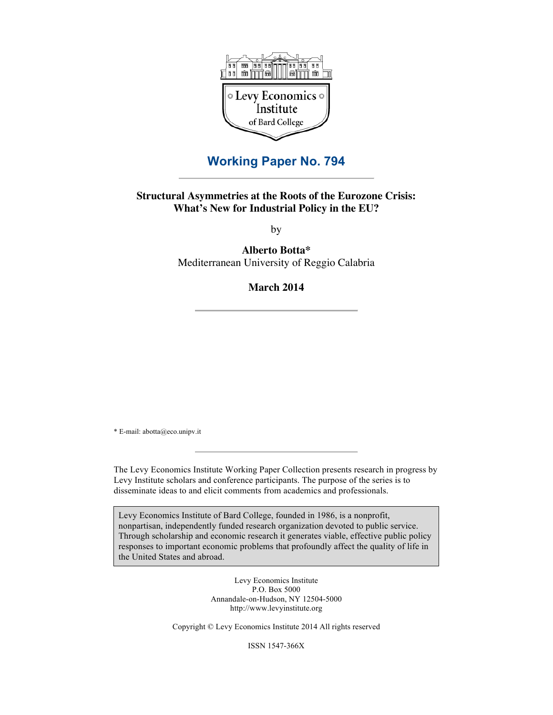

## **Working Paper No. 794**

## **Structural Asymmetries at the Roots of the Eurozone Crisis: What's New for Industrial Policy in the EU?**

by

**Alberto Botta\*** Mediterranean University of Reggio Calabria

## **March 2014**

\* E-mail: abotta@eco.unipv.it

The Levy Economics Institute Working Paper Collection presents research in progress by Levy Institute scholars and conference participants. The purpose of the series is to disseminate ideas to and elicit comments from academics and professionals.

Levy Economics Institute of Bard College, founded in 1986, is a nonprofit, nonpartisan, independently funded research organization devoted to public service. Through scholarship and economic research it generates viable, effective public policy responses to important economic problems that profoundly affect the quality of life in the United States and abroad.

> Levy Economics Institute P.O. Box 5000 Annandale-on-Hudson, NY 12504-5000 http://www.levyinstitute.org

Copyright © Levy Economics Institute 2014 All rights reserved

ISSN 1547-366X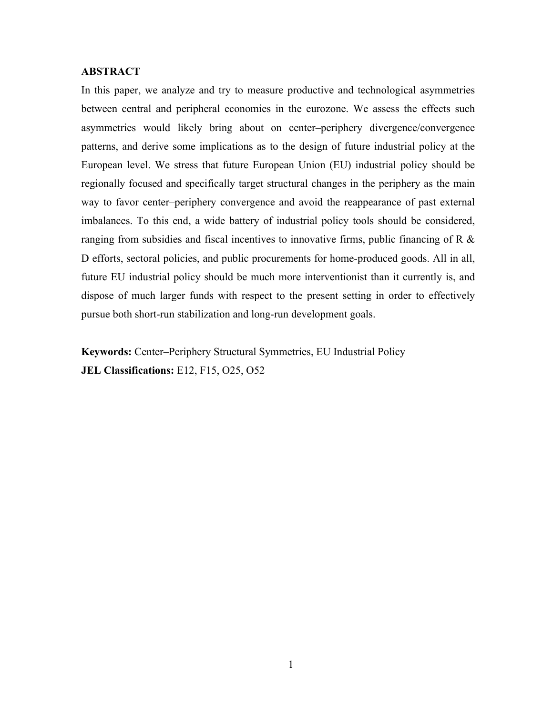### **ABSTRACT**

In this paper, we analyze and try to measure productive and technological asymmetries between central and peripheral economies in the eurozone. We assess the effects such asymmetries would likely bring about on center–periphery divergence/convergence patterns, and derive some implications as to the design of future industrial policy at the European level. We stress that future European Union (EU) industrial policy should be regionally focused and specifically target structural changes in the periphery as the main way to favor center–periphery convergence and avoid the reappearance of past external imbalances. To this end, a wide battery of industrial policy tools should be considered, ranging from subsidies and fiscal incentives to innovative firms, public financing of R  $\&$ D efforts, sectoral policies, and public procurements for home-produced goods. All in all, future EU industrial policy should be much more interventionist than it currently is, and dispose of much larger funds with respect to the present setting in order to effectively pursue both short-run stabilization and long-run development goals.

**Keywords:** Center–Periphery Structural Symmetries, EU Industrial Policy **JEL Classifications:** E12, F15, O25, O52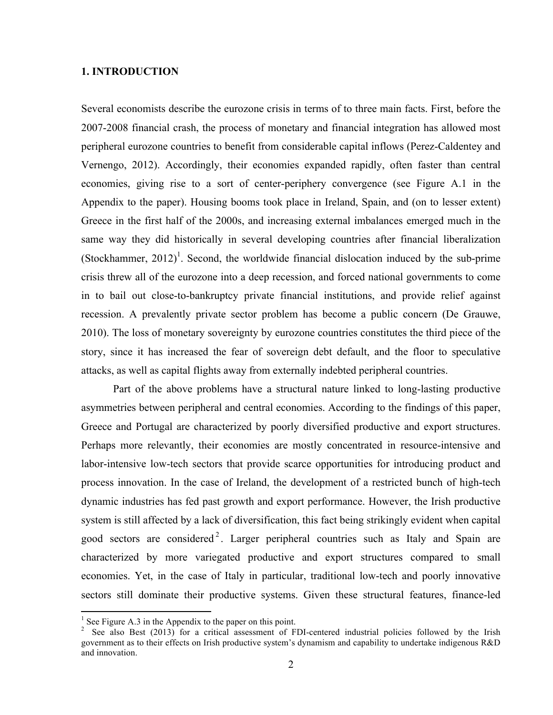### **1. INTRODUCTION**

Several economists describe the eurozone crisis in terms of to three main facts. First, before the 2007-2008 financial crash, the process of monetary and financial integration has allowed most peripheral eurozone countries to benefit from considerable capital inflows (Perez-Caldentey and Vernengo, 2012). Accordingly, their economies expanded rapidly, often faster than central economies, giving rise to a sort of center-periphery convergence (see Figure A.1 in the Appendix to the paper). Housing booms took place in Ireland, Spain, and (on to lesser extent) Greece in the first half of the 2000s, and increasing external imbalances emerged much in the same way they did historically in several developing countries after financial liberalization (Stockhammer, 2012)<sup>1</sup>. Second, the worldwide financial dislocation induced by the sub-prime crisis threw all of the eurozone into a deep recession, and forced national governments to come in to bail out close-to-bankruptcy private financial institutions, and provide relief against recession. A prevalently private sector problem has become a public concern (De Grauwe, 2010). The loss of monetary sovereignty by eurozone countries constitutes the third piece of the story, since it has increased the fear of sovereign debt default, and the floor to speculative attacks, as well as capital flights away from externally indebted peripheral countries.

Part of the above problems have a structural nature linked to long-lasting productive asymmetries between peripheral and central economies. According to the findings of this paper, Greece and Portugal are characterized by poorly diversified productive and export structures. Perhaps more relevantly, their economies are mostly concentrated in resource-intensive and labor-intensive low-tech sectors that provide scarce opportunities for introducing product and process innovation. In the case of Ireland, the development of a restricted bunch of high-tech dynamic industries has fed past growth and export performance. However, the Irish productive system is still affected by a lack of diversification, this fact being strikingly evident when capital good sectors are considered<sup>2</sup>. Larger peripheral countries such as Italy and Spain are characterized by more variegated productive and export structures compared to small economies. Yet, in the case of Italy in particular, traditional low-tech and poorly innovative sectors still dominate their productive systems. Given these structural features, finance-led

 

 $<sup>1</sup>$  See Figure A.3 in the Appendix to the paper on this point.</sup>

<sup>2</sup> See also Best (2013) for a critical assessment of FDI-centered industrial policies followed by the Irish government as to their effects on Irish productive system's dynamism and capability to undertake indigenous R&D and innovation.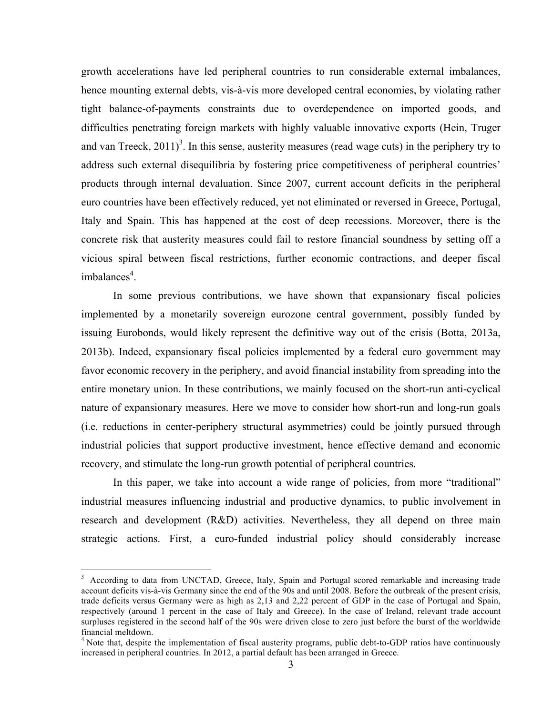growth accelerations have led peripheral countries to run considerable external imbalances, hence mounting external debts, vis-à-vis more developed central economies, by violating rather tight balance-of-payments constraints due to overdependence on imported goods, and difficulties penetrating foreign markets with highly valuable innovative exports (Hein, Truger and van Treeck,  $2011$ <sup>3</sup>. In this sense, austerity measures (read wage cuts) in the periphery try to address such external disequilibria by fostering price competitiveness of peripheral countries' products through internal devaluation. Since 2007, current account deficits in the peripheral euro countries have been effectively reduced, yet not eliminated or reversed in Greece, Portugal, Italy and Spain. This has happened at the cost of deep recessions. Moreover, there is the concrete risk that austerity measures could fail to restore financial soundness by setting off a vicious spiral between fiscal restrictions, further economic contractions, and deeper fiscal imbalances<sup>4</sup>.

In some previous contributions, we have shown that expansionary fiscal policies implemented by a monetarily sovereign eurozone central government, possibly funded by issuing Eurobonds, would likely represent the definitive way out of the crisis (Botta, 2013a, 2013b). Indeed, expansionary fiscal policies implemented by a federal euro government may favor economic recovery in the periphery, and avoid financial instability from spreading into the entire monetary union. In these contributions, we mainly focused on the short-run anti-cyclical nature of expansionary measures. Here we move to consider how short-run and long-run goals (i.e. reductions in center-periphery structural asymmetries) could be jointly pursued through industrial policies that support productive investment, hence effective demand and economic recovery, and stimulate the long-run growth potential of peripheral countries.

In this paper, we take into account a wide range of policies, from more "traditional" industrial measures influencing industrial and productive dynamics, to public involvement in research and development (R&D) activities. Nevertheless, they all depend on three main strategic actions. First, a euro-funded industrial policy should considerably increase

 

<sup>&</sup>lt;sup>3</sup> According to data from UNCTAD, Greece, Italy, Spain and Portugal scored remarkable and increasing trade account deficits vis-à-vis Germany since the end of the 90s and until 2008. Before the outbreak of the present crisis, trade deficits versus Germany were as high as 2,13 and 2,22 percent of GDP in the case of Portugal and Spain, respectively (around 1 percent in the case of Italy and Greece). In the case of Ireland, relevant trade account surpluses registered in the second half of the 90s were driven close to zero just before the burst of the worldwide financial meltdown.

<sup>&</sup>lt;sup>4</sup> Note that, despite the implementation of fiscal austerity programs, public debt-to-GDP ratios have continuously increased in peripheral countries. In 2012, a partial default has been arranged in Greece.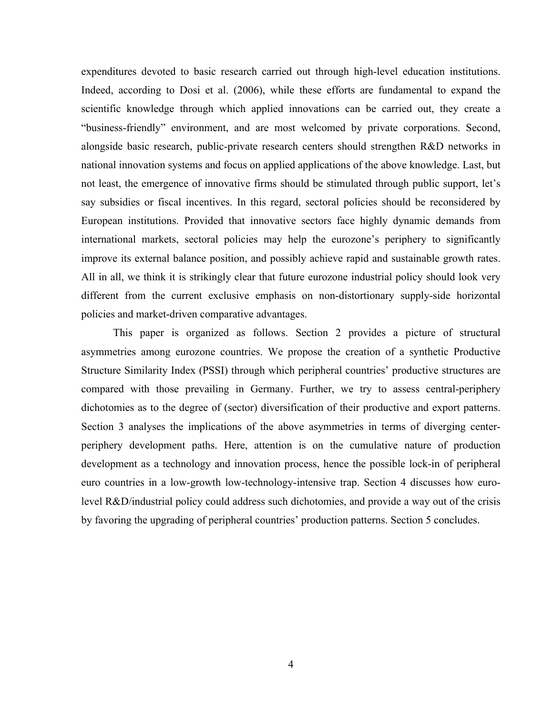expenditures devoted to basic research carried out through high-level education institutions. Indeed, according to Dosi et al. (2006), while these efforts are fundamental to expand the scientific knowledge through which applied innovations can be carried out, they create a "business-friendly" environment, and are most welcomed by private corporations. Second, alongside basic research, public-private research centers should strengthen R&D networks in national innovation systems and focus on applied applications of the above knowledge. Last, but not least, the emergence of innovative firms should be stimulated through public support, let's say subsidies or fiscal incentives. In this regard, sectoral policies should be reconsidered by European institutions. Provided that innovative sectors face highly dynamic demands from international markets, sectoral policies may help the eurozone's periphery to significantly improve its external balance position, and possibly achieve rapid and sustainable growth rates. All in all, we think it is strikingly clear that future eurozone industrial policy should look very different from the current exclusive emphasis on non-distortionary supply-side horizontal policies and market-driven comparative advantages.

This paper is organized as follows. Section 2 provides a picture of structural asymmetries among eurozone countries. We propose the creation of a synthetic Productive Structure Similarity Index (PSSI) through which peripheral countries' productive structures are compared with those prevailing in Germany. Further, we try to assess central-periphery dichotomies as to the degree of (sector) diversification of their productive and export patterns. Section 3 analyses the implications of the above asymmetries in terms of diverging centerperiphery development paths. Here, attention is on the cumulative nature of production development as a technology and innovation process, hence the possible lock-in of peripheral euro countries in a low-growth low-technology-intensive trap. Section 4 discusses how eurolevel R&D/industrial policy could address such dichotomies, and provide a way out of the crisis by favoring the upgrading of peripheral countries' production patterns. Section 5 concludes.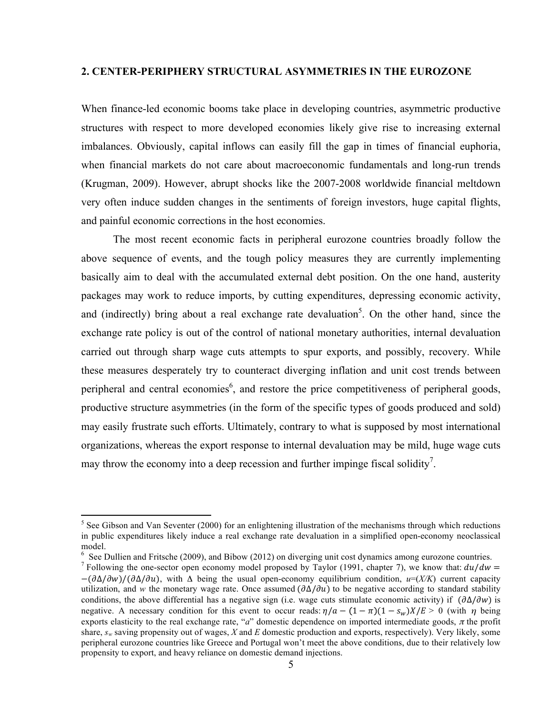## **2. CENTER-PERIPHERY STRUCTURAL ASYMMETRIES IN THE EUROZONE**

When finance-led economic booms take place in developing countries, asymmetric productive structures with respect to more developed economies likely give rise to increasing external imbalances. Obviously, capital inflows can easily fill the gap in times of financial euphoria, when financial markets do not care about macroeconomic fundamentals and long-run trends (Krugman, 2009). However, abrupt shocks like the 2007-2008 worldwide financial meltdown very often induce sudden changes in the sentiments of foreign investors, huge capital flights, and painful economic corrections in the host economies.

The most recent economic facts in peripheral eurozone countries broadly follow the above sequence of events, and the tough policy measures they are currently implementing basically aim to deal with the accumulated external debt position. On the one hand, austerity packages may work to reduce imports, by cutting expenditures, depressing economic activity, and (indirectly) bring about a real exchange rate devaluation<sup>5</sup>. On the other hand, since the exchange rate policy is out of the control of national monetary authorities, internal devaluation carried out through sharp wage cuts attempts to spur exports, and possibly, recovery. While these measures desperately try to counteract diverging inflation and unit cost trends between peripheral and central economies<sup>6</sup>, and restore the price competitiveness of peripheral goods, productive structure asymmetries (in the form of the specific types of goods produced and sold) may easily frustrate such efforts. Ultimately, contrary to what is supposed by most international organizations, whereas the export response to internal devaluation may be mild, huge wage cuts may throw the economy into a deep recession and further impinge fiscal solidity<sup>7</sup>.

<u> 1989 - Johann Stein, markin film yn y breninn y breninn y breninn y breninn y breninn y breninn y breninn y b</u>

 $<sup>5</sup>$  See Gibson and Van Seventer (2000) for an enlightening illustration of the mechanisms through which reductions</sup> in public expenditures likely induce a real exchange rate devaluation in a simplified open-economy neoclassical model.

<sup>6</sup> See Dullien and Fritsche (2009), and Bibow (2012) on diverging unit cost dynamics among eurozone countries.

<sup>&</sup>lt;sup>7</sup> Following the one-sector open economy model proposed by Taylor (1991, chapter 7), we know that:  $du/dw =$ −(∆/)/(∆/), with Δ being the usual open-economy equilibrium condition, *u*=(*X/K*) current capacity utilization, and *w* the monetary wage rate. Once assumed  $(\partial \Delta/\partial u)$  to be negative according to standard stability conditions, the above differential has a negative sign (i.e. wage cuts stimulate economic activity) if  $(\partial \Delta/\partial w)$  is negative. A necessary condition for this event to occur reads:  $\eta/a - (1 - \pi)(1 - s_w)X/E > 0$  (with  $\eta$  being exports elasticity to the real exchange rate, "*a*" domestic dependence on imported intermediate goods,  $\pi$  the profit share, *sw* saving propensity out of wages, *X* and *E* domestic production and exports, respectively). Very likely, some peripheral eurozone countries like Greece and Portugal won't meet the above conditions, due to their relatively low propensity to export, and heavy reliance on domestic demand injections.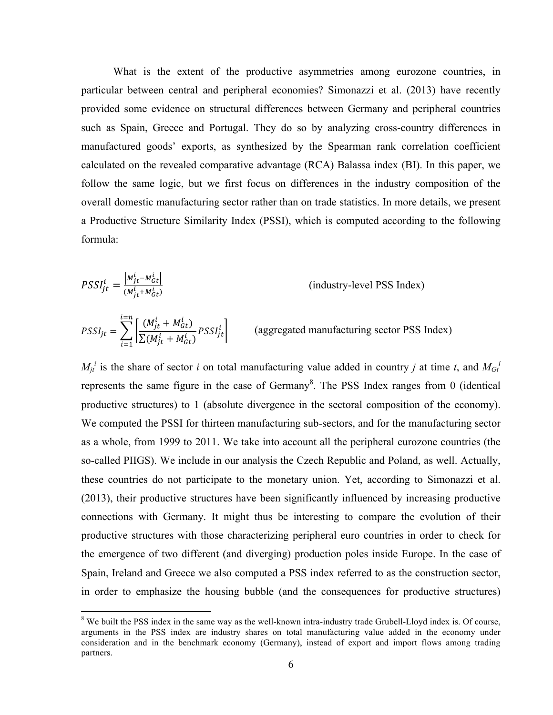What is the extent of the productive asymmetries among eurozone countries, in particular between central and peripheral economies? Simonazzi et al. (2013) have recently provided some evidence on structural differences between Germany and peripheral countries such as Spain, Greece and Portugal. They do so by analyzing cross-country differences in manufactured goods' exports, as synthesized by the Spearman rank correlation coefficient calculated on the revealed comparative advantage (RCA) Balassa index (BI). In this paper, we follow the same logic, but we first focus on differences in the industry composition of the overall domestic manufacturing sector rather than on trade statistics. In more details, we present a Productive Structure Similarity Index (PSSI), which is computed according to the following formula:

$$
PSSI_{jt}^{i} = \frac{|M_{jt}^{i} - M_{GI}^{i}|}{(M_{jt}^{i} + M_{GI}^{i})}
$$
 (industry-level PSS Index)

 $|PSSI_{jt}| = \sum_{l} \left| \frac{V^{i}I^{t}_{jt} + N_{i}I^{t}_{j}}{\sum_{l} (M_{l} + M_{l})} PSSI_{jt}^{i} \right|$  (aggregated manufacturing sector PSS Index)  $(M^i_{jt} + M^i_{Gt})$  $\left[\frac{N_{ijt}^{i} + N_{Gt}^{i}}{\sum (M_{jt}^{i} + M_{Gt}^{i})} PSSI_{jt}^{i}\right]$  $i = n$  $i = 1$ 

 $M_{jt}$ <sup>*i*</sup> is the share of sector *i* on total manufacturing value added in country *j* at time *t*, and  $M_{Gt}$ <sup>*i*</sup> represents the same figure in the case of Germany<sup>8</sup>. The PSS Index ranges from 0 (identical productive structures) to 1 (absolute divergence in the sectoral composition of the economy). We computed the PSSI for thirteen manufacturing sub-sectors, and for the manufacturing sector as a whole, from 1999 to 2011. We take into account all the peripheral eurozone countries (the so-called PIIGS). We include in our analysis the Czech Republic and Poland, as well. Actually, these countries do not participate to the monetary union. Yet, according to Simonazzi et al. (2013), their productive structures have been significantly influenced by increasing productive connections with Germany. It might thus be interesting to compare the evolution of their productive structures with those characterizing peripheral euro countries in order to check for the emergence of two different (and diverging) production poles inside Europe. In the case of Spain, Ireland and Greece we also computed a PSS index referred to as the construction sector, in order to emphasize the housing bubble (and the consequences for productive structures)

 

<sup>&</sup>lt;sup>8</sup> We built the PSS index in the same way as the well-known intra-industry trade Grubell-Lloyd index is. Of course, arguments in the PSS index are industry shares on total manufacturing value added in the economy under consideration and in the benchmark economy (Germany), instead of export and import flows among trading partners.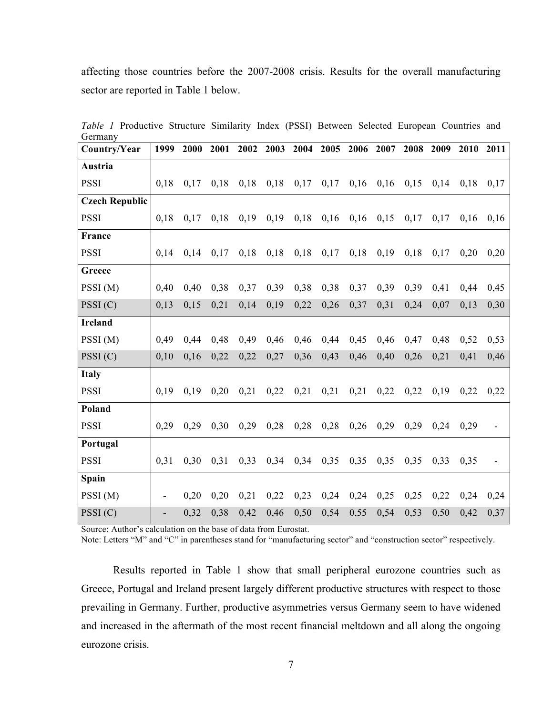affecting those countries before the 2007-2008 crisis. Results for the overall manufacturing sector are reported in Table 1 below.

| <b>OCHITALLY</b>      |      |      |      |      |      |      |           |      |      |      |      |      |      |
|-----------------------|------|------|------|------|------|------|-----------|------|------|------|------|------|------|
| Country/Year          | 1999 | 2000 | 2001 | 2002 | 2003 |      | 2004 2005 | 2006 | 2007 | 2008 | 2009 | 2010 | 2011 |
| Austria               |      |      |      |      |      |      |           |      |      |      |      |      |      |
| <b>PSSI</b>           | 0,18 | 0,17 | 0,18 | 0,18 | 0,18 | 0,17 | 0,17      | 0,16 | 0,16 | 0,15 | 0,14 | 0,18 | 0,17 |
| <b>Czech Republic</b> |      |      |      |      |      |      |           |      |      |      |      |      |      |
| <b>PSSI</b>           | 0.18 | 0,17 | 0,18 | 0,19 | 0,19 | 0,18 | 0,16      | 0,16 | 0,15 | 0,17 | 0,17 | 0,16 | 0,16 |
| France                |      |      |      |      |      |      |           |      |      |      |      |      |      |
| <b>PSSI</b>           | 0.14 | 0,14 | 0,17 | 0,18 | 0,18 | 0,18 | 0,17      | 0,18 | 0,19 | 0,18 | 0,17 | 0,20 | 0,20 |
| Greece                |      |      |      |      |      |      |           |      |      |      |      |      |      |
| PSSI(M)               | 0,40 | 0,40 | 0,38 | 0,37 | 0,39 | 0,38 | 0,38      | 0,37 | 0,39 | 0,39 | 0,41 | 0,44 | 0,45 |
| PSSI(C)               | 0,13 | 0,15 | 0,21 | 0,14 | 0,19 | 0,22 | 0,26      | 0,37 | 0,31 | 0,24 | 0,07 | 0,13 | 0,30 |
| <b>Ireland</b>        |      |      |      |      |      |      |           |      |      |      |      |      |      |
| PSSI(M)               | 0.49 | 0,44 | 0,48 | 0,49 | 0,46 | 0,46 | 0,44      | 0,45 | 0,46 | 0,47 | 0,48 | 0,52 | 0,53 |
| PSSI(C)               | 0,10 | 0,16 | 0,22 | 0,22 | 0,27 | 0,36 | 0,43      | 0,46 | 0,40 | 0,26 | 0,21 | 0,41 | 0,46 |
| <b>Italy</b>          |      |      |      |      |      |      |           |      |      |      |      |      |      |
| <b>PSSI</b>           | 0.19 | 0.19 | 0,20 | 0,21 | 0,22 | 0,21 | 0,21      | 0,21 | 0,22 | 0,22 | 0,19 | 0,22 | 0,22 |
| Poland                |      |      |      |      |      |      |           |      |      |      |      |      |      |
| <b>PSSI</b>           | 0,29 | 0,29 | 0,30 | 0,29 | 0,28 | 0,28 | 0,28      | 0,26 | 0,29 | 0,29 | 0,24 | 0,29 |      |
| Portugal              |      |      |      |      |      |      |           |      |      |      |      |      |      |
| <b>PSSI</b>           | 0,31 | 0,30 | 0,31 | 0,33 | 0,34 | 0,34 | 0,35      | 0,35 | 0,35 | 0,35 | 0,33 | 0,35 |      |
| Spain                 |      |      |      |      |      |      |           |      |      |      |      |      |      |
| PSSI(M)               |      | 0,20 | 0,20 | 0,21 | 0,22 | 0,23 | 0,24      | 0,24 | 0,25 | 0,25 | 0,22 | 0,24 | 0,24 |
| PSSI(C)               |      | 0,32 | 0,38 | 0,42 | 0,46 | 0,50 | 0,54      | 0,55 | 0,54 | 0,53 | 0,50 | 0,42 | 0,37 |

*Table 1* Productive Structure Similarity Index (PSSI) Between Selected European Countries and Germany

Source: Author's calculation on the base of data from Eurostat.

Note: Letters "M" and "C" in parentheses stand for "manufacturing sector" and "construction sector" respectively.

Results reported in Table 1 show that small peripheral eurozone countries such as Greece, Portugal and Ireland present largely different productive structures with respect to those prevailing in Germany. Further, productive asymmetries versus Germany seem to have widened and increased in the aftermath of the most recent financial meltdown and all along the ongoing eurozone crisis.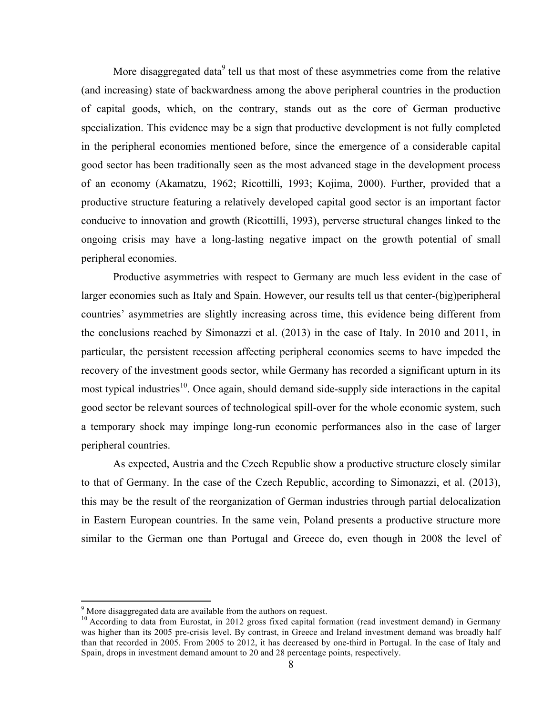More disaggregated data<sup>9</sup> tell us that most of these asymmetries come from the relative (and increasing) state of backwardness among the above peripheral countries in the production of capital goods, which, on the contrary, stands out as the core of German productive specialization. This evidence may be a sign that productive development is not fully completed in the peripheral economies mentioned before, since the emergence of a considerable capital good sector has been traditionally seen as the most advanced stage in the development process of an economy (Akamatzu, 1962; Ricottilli, 1993; Kojima, 2000). Further, provided that a productive structure featuring a relatively developed capital good sector is an important factor conducive to innovation and growth (Ricottilli, 1993), perverse structural changes linked to the ongoing crisis may have a long-lasting negative impact on the growth potential of small peripheral economies.

Productive asymmetries with respect to Germany are much less evident in the case of larger economies such as Italy and Spain. However, our results tell us that center-(big)peripheral countries' asymmetries are slightly increasing across time, this evidence being different from the conclusions reached by Simonazzi et al. (2013) in the case of Italy. In 2010 and 2011, in particular, the persistent recession affecting peripheral economies seems to have impeded the recovery of the investment goods sector, while Germany has recorded a significant upturn in its most typical industries<sup>10</sup>. Once again, should demand side-supply side interactions in the capital good sector be relevant sources of technological spill-over for the whole economic system, such a temporary shock may impinge long-run economic performances also in the case of larger peripheral countries.

As expected, Austria and the Czech Republic show a productive structure closely similar to that of Germany. In the case of the Czech Republic, according to Simonazzi, et al. (2013), this may be the result of the reorganization of German industries through partial delocalization in Eastern European countries. In the same vein, Poland presents a productive structure more similar to the German one than Portugal and Greece do, even though in 2008 the level of

<u> 1989 - Johann Stein, markin film yn y breninn y breninn y breninn y breninn y breninn y breninn y breninn y b</u>

 $9$  More disaggregated data are available from the authors on request.

<sup>&</sup>lt;sup>10</sup> According to data from Eurostat, in 2012 gross fixed capital formation (read investment demand) in Germany was higher than its 2005 pre-crisis level. By contrast, in Greece and Ireland investment demand was broadly half than that recorded in 2005. From 2005 to 2012, it has decreased by one-third in Portugal. In the case of Italy and Spain, drops in investment demand amount to 20 and 28 percentage points, respectively.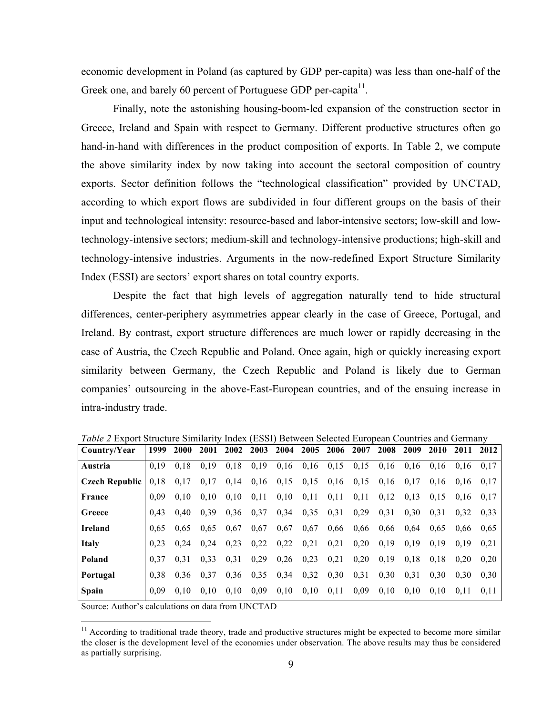economic development in Poland (as captured by GDP per-capita) was less than one-half of the Greek one, and barely 60 percent of Portuguese GDP per-capita<sup>11</sup>.

Finally, note the astonishing housing-boom-led expansion of the construction sector in Greece, Ireland and Spain with respect to Germany. Different productive structures often go hand-in-hand with differences in the product composition of exports. In Table 2, we compute the above similarity index by now taking into account the sectoral composition of country exports. Sector definition follows the "technological classification" provided by UNCTAD, according to which export flows are subdivided in four different groups on the basis of their input and technological intensity: resource-based and labor-intensive sectors; low-skill and lowtechnology-intensive sectors; medium-skill and technology-intensive productions; high-skill and technology-intensive industries. Arguments in the now-redefined Export Structure Similarity Index (ESSI) are sectors' export shares on total country exports.

Despite the fact that high levels of aggregation naturally tend to hide structural differences, center-periphery asymmetries appear clearly in the case of Greece, Portugal, and Ireland. By contrast, export structure differences are much lower or rapidly decreasing in the case of Austria, the Czech Republic and Poland. Once again, high or quickly increasing export similarity between Germany, the Czech Republic and Poland is likely due to German companies' outsourcing in the above-East-European countries, and of the ensuing increase in intra-industry trade.

| Country/Year          | 1999 | <b>2000</b> | 2001 | 2002 | 2003          | 2004 |      | 2005 2006     | 2007 | 2008 | 2009 | <b>2010</b> | 2011 | 2012 |
|-----------------------|------|-------------|------|------|---------------|------|------|---------------|------|------|------|-------------|------|------|
| Austria               | 0.19 | 0.18        | 0.19 | 0,18 | 0,19          | 0,16 | 0.16 | 0,15          | 0,15 | 0,16 | 0.16 | 0.16        | 0.16 | 0.17 |
| <b>Czech Republic</b> | 0.18 | 0.17        | 0,17 | 0,14 | $0,16$ $0,15$ |      |      | $0,15$ $0,16$ | 0.15 | 0,16 | 0,17 | 0.16        | 0.16 | 0.17 |
| France                | 0.09 | 0.10        | 0.10 | 0,10 | 0.11          | 0,10 | 0,11 | 0.11          | 0.11 | 0,12 | 0.13 | 0.15        | 0.16 | 0.17 |
| Greece                | 0.43 | 0.40        | 0.39 | 0.36 | 0.37          | 0.34 | 0,35 | 0,31          | 0,29 | 0.31 | 0.30 | 0.31        | 0.32 | 0.33 |
| <b>Ireland</b>        | 0.65 | 0.65        | 0.65 | 0.67 | 0.67          | 0.67 | 0.67 | 0.66          | 0.66 | 0.66 | 0.64 | 0.65        | 0.66 | 0,65 |
| <b>Italy</b>          | 0.23 | 0.24        | 0.24 | 0.23 | 0,22          | 0,22 | 0.21 | 0.21          | 0,20 | 0.19 | 0.19 | 0.19        | 0.19 | 0.21 |
| Poland                | 0.37 | 0.31        | 0.33 | 0.31 | 0,29          | 0.26 | 0.23 | 0.21          | 0.20 | 0,19 | 0.18 | 0.18        | 0.20 | 0.20 |
| Portugal              | 0.38 | 0.36        | 0.37 | 0.36 | 0,35          | 0,34 | 0,32 | 0,30          | 0,31 | 0,30 | 0.31 | 0.30        | 0.30 | 0.30 |
| <b>Spain</b>          | 0.09 | 0.10        | 0.10 | 0.10 | 0.09          | 0,10 | 0,10 | 0,11          | 0.09 | 0,10 | 0,10 | 0.10        | 0.11 | 0.11 |
|                       |      |             |      |      |               |      |      |               |      |      |      |             |      |      |

*Table 2* Export Structure Similarity Index (ESSI) Between Selected European Countries and Germany

Source: Author's calculations on data from UNCTAD

<u> 1989 - Johann Stein, markin film yn y breninn y breninn y breninn y breninn y breninn y breninn y breninn y b</u>

 $11$  According to traditional trade theory, trade and productive structures might be expected to become more similar the closer is the development level of the economies under observation. The above results may thus be considered as partially surprising.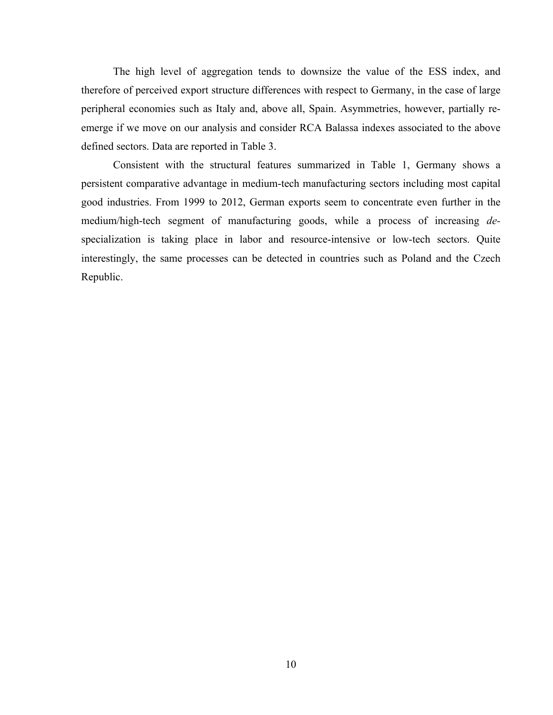The high level of aggregation tends to downsize the value of the ESS index, and therefore of perceived export structure differences with respect to Germany, in the case of large peripheral economies such as Italy and, above all, Spain. Asymmetries, however, partially reemerge if we move on our analysis and consider RCA Balassa indexes associated to the above defined sectors. Data are reported in Table 3.

Consistent with the structural features summarized in Table 1, Germany shows a persistent comparative advantage in medium-tech manufacturing sectors including most capital good industries. From 1999 to 2012, German exports seem to concentrate even further in the medium/high-tech segment of manufacturing goods, while a process of increasing *de*specialization is taking place in labor and resource-intensive or low-tech sectors. Quite interestingly, the same processes can be detected in countries such as Poland and the Czech Republic.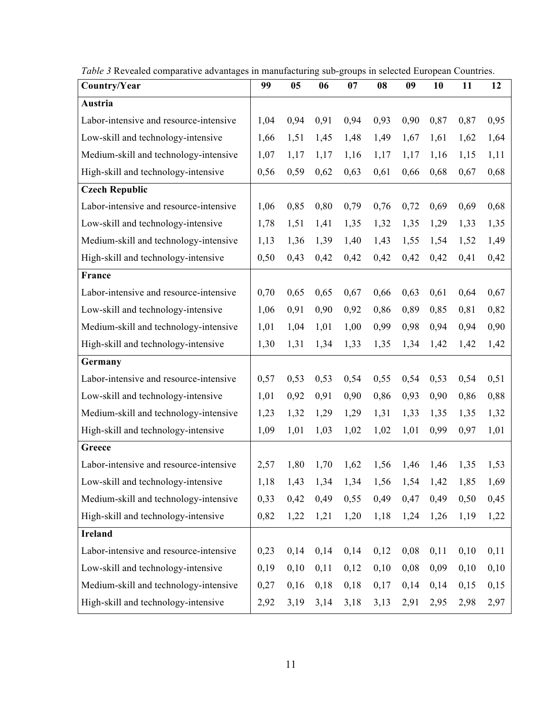| Country/Year                           | 99   | 0 <sub>5</sub> | 06   | 07                                               | 08   | 09   | 10   | 11            | 12   |
|----------------------------------------|------|----------------|------|--------------------------------------------------|------|------|------|---------------|------|
| Austria                                |      |                |      |                                                  |      |      |      |               |      |
| Labor-intensive and resource-intensive | 1,04 | 0,94           | 0,91 | 0,94                                             | 0,93 | 0,90 | 0,87 | 0,87          | 0,95 |
| Low-skill and technology-intensive     | 1,66 | 1,51           | 1,45 | 1,48                                             | 1,49 | 1,67 | 1,61 | 1,62          | 1,64 |
| Medium-skill and technology-intensive  | 1,07 | 1,17           | 1,17 | 1,16                                             | 1,17 | 1,17 | 1,16 | 1,15          | 1,11 |
| High-skill and technology-intensive    | 0,56 | 0,59           | 0,62 | 0,63                                             | 0,61 | 0,66 | 0,68 | 0,67          | 0,68 |
| <b>Czech Republic</b>                  |      |                |      |                                                  |      |      |      |               |      |
| Labor-intensive and resource-intensive | 1,06 | 0,85           | 0,80 | 0,79                                             | 0,76 | 0,72 | 0,69 | 0,69          | 0,68 |
| Low-skill and technology-intensive     | 1,78 | 1,51           | 1,41 | 1,35                                             | 1,32 | 1,35 | 1,29 | 1,33          | 1,35 |
| Medium-skill and technology-intensive  | 1,13 | 1,36           | 1,39 | 1,40                                             | 1,43 | 1,55 | 1,54 | 1,52          | 1,49 |
| High-skill and technology-intensive    | 0,50 | 0,43           | 0,42 | 0,42                                             | 0,42 | 0,42 | 0,42 | 0,41          | 0,42 |
| France                                 |      |                |      |                                                  |      |      |      |               |      |
| Labor-intensive and resource-intensive | 0,70 | 0,65           | 0,65 | 0,67                                             | 0,66 | 0,63 | 0,61 | 0,64          | 0,67 |
| Low-skill and technology-intensive     | 1,06 | 0,91           | 0,90 | 0,92                                             | 0,86 | 0,89 | 0,85 | 0,81          | 0,82 |
| Medium-skill and technology-intensive  | 1,01 | 1,04           | 1,01 | 1,00                                             | 0,99 | 0,98 | 0,94 | 0,94          | 0,90 |
| High-skill and technology-intensive    | 1,30 | 1,31           | 1,34 | 1,33                                             | 1,35 | 1,34 | 1,42 | 1,42          | 1,42 |
| Germany                                |      |                |      |                                                  |      |      |      |               |      |
| Labor-intensive and resource-intensive | 0,57 | 0,53           | 0,53 | 0,54                                             | 0,55 | 0,54 | 0,53 | 0,54          | 0,51 |
| Low-skill and technology-intensive     | 1,01 | 0,92           | 0,91 | 0,90                                             | 0,86 | 0,93 | 0,90 | 0,86          | 0,88 |
| Medium-skill and technology-intensive  | 1,23 | 1,32           | 1,29 | 1,29                                             | 1,31 | 1,33 | 1,35 | 1,35          | 1,32 |
| High-skill and technology-intensive    | 1,09 | 1,01           | 1,03 | 1,02                                             | 1,02 | 1,01 | 0,99 | 0,97          | 1,01 |
| Greece                                 |      |                |      |                                                  |      |      |      |               |      |
| Labor-intensive and resource-intensive | 2,57 | 1,80           | 1,70 | 1,62                                             | 1,56 | 1,46 | 1,46 | 1,35          | 1,53 |
| Low-skill and technology-intensive     |      |                |      | $1,18$ $1,43$ $1,34$ $1,34$ $1,56$ $1,54$ $1,42$ |      |      |      | $1,85$ $1,69$ |      |
| Medium-skill and technology-intensive  | 0,33 | 0,42           | 0,49 | 0,55                                             | 0,49 | 0,47 | 0,49 | 0,50          | 0,45 |
| High-skill and technology-intensive    | 0,82 | 1,22           | 1,21 | 1,20                                             | 1,18 | 1,24 | 1,26 | 1,19          | 1,22 |
| Ireland                                |      |                |      |                                                  |      |      |      |               |      |
| Labor-intensive and resource-intensive | 0,23 | 0,14           | 0,14 | 0,14                                             | 0,12 | 0,08 | 0,11 | 0,10          | 0,11 |
| Low-skill and technology-intensive     | 0,19 | 0,10           | 0,11 | 0,12                                             | 0,10 | 0,08 | 0,09 | 0,10          | 0,10 |
| Medium-skill and technology-intensive  | 0,27 | 0,16           | 0,18 | 0,18                                             | 0,17 | 0,14 | 0,14 | 0,15          | 0,15 |
| High-skill and technology-intensive    | 2,92 | 3,19           | 3,14 | 3,18                                             | 3,13 | 2,91 | 2,95 | 2,98          | 2,97 |

*Table 3* Revealed comparative advantages in manufacturing sub-groups in selected European Countries.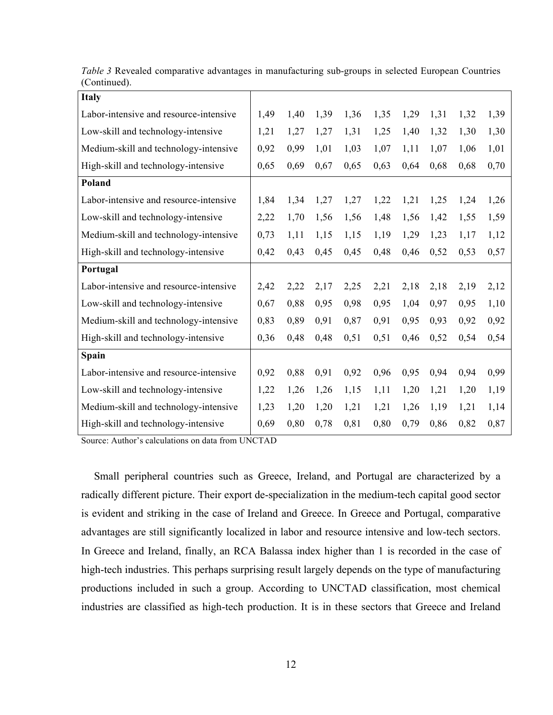| <b>Italy</b>                           |      |      |      |      |      |      |      |      |      |
|----------------------------------------|------|------|------|------|------|------|------|------|------|
| Labor-intensive and resource-intensive | 1,49 | 1,40 | 1,39 | 1,36 | 1,35 | 1,29 | 1,31 | 1,32 | 1,39 |
| Low-skill and technology-intensive     | 1,21 | 1,27 | 1,27 | 1,31 | 1,25 | 1,40 | 1,32 | 1,30 | 1,30 |
| Medium-skill and technology-intensive  | 0,92 | 0,99 | 1,01 | 1,03 | 1,07 | 1,11 | 1,07 | 1,06 | 1,01 |
| High-skill and technology-intensive    | 0,65 | 0,69 | 0,67 | 0,65 | 0,63 | 0,64 | 0,68 | 0,68 | 0,70 |
| Poland                                 |      |      |      |      |      |      |      |      |      |
| Labor-intensive and resource-intensive | 1,84 | 1,34 | 1,27 | 1,27 | 1,22 | 1,21 | 1,25 | 1,24 | 1,26 |
| Low-skill and technology-intensive     | 2,22 | 1,70 | 1,56 | 1,56 | 1,48 | 1,56 | 1,42 | 1,55 | 1,59 |
| Medium-skill and technology-intensive  | 0,73 | 1,11 | 1,15 | 1,15 | 1,19 | 1,29 | 1,23 | 1,17 | 1,12 |
| High-skill and technology-intensive    | 0,42 | 0,43 | 0,45 | 0,45 | 0,48 | 0,46 | 0,52 | 0,53 | 0,57 |
| Portugal                               |      |      |      |      |      |      |      |      |      |
| Labor-intensive and resource-intensive | 2,42 | 2,22 | 2,17 | 2,25 | 2,21 | 2,18 | 2,18 | 2,19 | 2,12 |
|                                        |      |      |      |      |      |      |      |      |      |
| Low-skill and technology-intensive     | 0,67 | 0,88 | 0,95 | 0,98 | 0,95 | 1,04 | 0,97 | 0,95 | 1,10 |
| Medium-skill and technology-intensive  | 0,83 | 0,89 | 0,91 | 0,87 | 0,91 | 0,95 | 0,93 | 0,92 | 0,92 |
| High-skill and technology-intensive    | 0,36 | 0,48 | 0,48 | 0,51 | 0,51 | 0,46 | 0,52 | 0,54 | 0,54 |
| Spain                                  |      |      |      |      |      |      |      |      |      |
| Labor-intensive and resource-intensive | 0,92 | 0,88 | 0,91 | 0,92 | 0,96 | 0,95 | 0,94 | 0,94 | 0,99 |
| Low-skill and technology-intensive     | 1,22 | 1,26 | 1,26 | 1,15 | 1,11 | 1,20 | 1,21 | 1,20 | 1,19 |
| Medium-skill and technology-intensive  | 1,23 | 1,20 | 1,20 | 1,21 | 1,21 | 1,26 | 1,19 | 1,21 | 1,14 |

*Table 3* Revealed comparative advantages in manufacturing sub-groups in selected European Countries (Continued).

Source: Author's calculations on data from UNCTAD

Small peripheral countries such as Greece, Ireland, and Portugal are characterized by a radically different picture. Their export de-specialization in the medium-tech capital good sector is evident and striking in the case of Ireland and Greece. In Greece and Portugal, comparative advantages are still significantly localized in labor and resource intensive and low-tech sectors. In Greece and Ireland, finally, an RCA Balassa index higher than 1 is recorded in the case of high-tech industries. This perhaps surprising result largely depends on the type of manufacturing productions included in such a group. According to UNCTAD classification, most chemical industries are classified as high-tech production. It is in these sectors that Greece and Ireland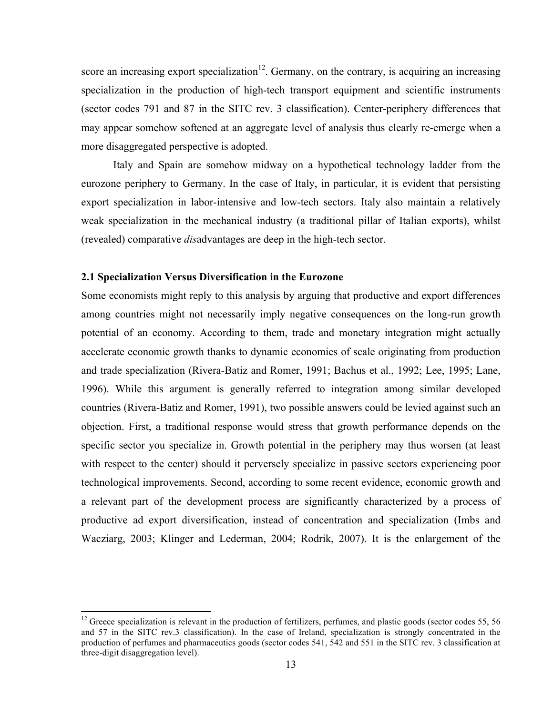score an increasing export specialization<sup>12</sup>. Germany, on the contrary, is acquiring an increasing specialization in the production of high-tech transport equipment and scientific instruments (sector codes 791 and 87 in the SITC rev. 3 classification). Center-periphery differences that may appear somehow softened at an aggregate level of analysis thus clearly re-emerge when a more disaggregated perspective is adopted.

Italy and Spain are somehow midway on a hypothetical technology ladder from the eurozone periphery to Germany. In the case of Italy, in particular, it is evident that persisting export specialization in labor-intensive and low-tech sectors. Italy also maintain a relatively weak specialization in the mechanical industry (a traditional pillar of Italian exports), whilst (revealed) comparative *dis*advantages are deep in the high-tech sector.

### **2.1 Specialization Versus Diversification in the Eurozone**

 

Some economists might reply to this analysis by arguing that productive and export differences among countries might not necessarily imply negative consequences on the long-run growth potential of an economy. According to them, trade and monetary integration might actually accelerate economic growth thanks to dynamic economies of scale originating from production and trade specialization (Rivera-Batiz and Romer, 1991; Bachus et al., 1992; Lee, 1995; Lane, 1996). While this argument is generally referred to integration among similar developed countries (Rivera-Batiz and Romer, 1991), two possible answers could be levied against such an objection. First, a traditional response would stress that growth performance depends on the specific sector you specialize in. Growth potential in the periphery may thus worsen (at least with respect to the center) should it perversely specialize in passive sectors experiencing poor technological improvements. Second, according to some recent evidence, economic growth and a relevant part of the development process are significantly characterized by a process of productive ad export diversification, instead of concentration and specialization (Imbs and Wacziarg, 2003; Klinger and Lederman, 2004; Rodrik, 2007). It is the enlargement of the

 $12$  Greece specialization is relevant in the production of fertilizers, perfumes, and plastic goods (sector codes 55, 56 and 57 in the SITC rev.3 classification). In the case of Ireland, specialization is strongly concentrated in the production of perfumes and pharmaceutics goods (sector codes 541, 542 and 551 in the SITC rev. 3 classification at three-digit disaggregation level).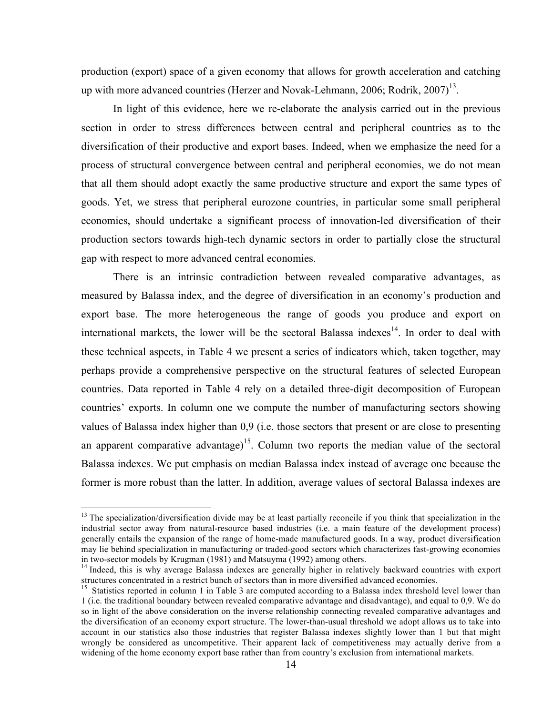production (export) space of a given economy that allows for growth acceleration and catching up with more advanced countries (Herzer and Novak-Lehmann, 2006; Rodrik,  $2007$ <sup>13</sup>.

In light of this evidence, here we re-elaborate the analysis carried out in the previous section in order to stress differences between central and peripheral countries as to the diversification of their productive and export bases. Indeed, when we emphasize the need for a process of structural convergence between central and peripheral economies, we do not mean that all them should adopt exactly the same productive structure and export the same types of goods. Yet, we stress that peripheral eurozone countries, in particular some small peripheral economies, should undertake a significant process of innovation-led diversification of their production sectors towards high-tech dynamic sectors in order to partially close the structural gap with respect to more advanced central economies.

There is an intrinsic contradiction between revealed comparative advantages, as measured by Balassa index, and the degree of diversification in an economy's production and export base. The more heterogeneous the range of goods you produce and export on international markets, the lower will be the sectoral Balassa indexes $14$ . In order to deal with these technical aspects, in Table 4 we present a series of indicators which, taken together, may perhaps provide a comprehensive perspective on the structural features of selected European countries. Data reported in Table 4 rely on a detailed three-digit decomposition of European countries' exports. In column one we compute the number of manufacturing sectors showing values of Balassa index higher than 0,9 (i.e. those sectors that present or are close to presenting an apparent comparative advantage)<sup>15</sup>. Column two reports the median value of the sectoral Balassa indexes. We put emphasis on median Balassa index instead of average one because the former is more robust than the latter. In addition, average values of sectoral Balassa indexes are

<u> 1989 - Johann Stein, markin film yn y breninn y breninn y breninn y breninn y breninn y breninn y breninn y b</u>

 $13$  The specialization/diversification divide may be at least partially reconcile if you think that specialization in the industrial sector away from natural-resource based industries (i.e. a main feature of the development process) generally entails the expansion of the range of home-made manufactured goods. In a way, product diversification may lie behind specialization in manufacturing or traded-good sectors which characterizes fast-growing economies in two-sector models by Krugman (1981) and Matsuyma (1992) among others.<br><sup>14</sup> Indeed, this is why average Balassa indexes are generally higher in relatively backward countries with export

structures concentrated in a restrict bunch of sectors than in more diversified advanced economies.

<sup>&</sup>lt;sup>15</sup> Statistics reported in column 1 in Table 3 are computed according to a Balassa index threshold level lower than 1 (i.e. the traditional boundary between revealed comparative advantage and disadvantage), and equal to 0,9. We do so in light of the above consideration on the inverse relationship connecting revealed comparative advantages and the diversification of an economy export structure. The lower-than-usual threshold we adopt allows us to take into account in our statistics also those industries that register Balassa indexes slightly lower than 1 but that might wrongly be considered as uncompetitive. Their apparent lack of competitiveness may actually derive from a widening of the home economy export base rather than from country's exclusion from international markets.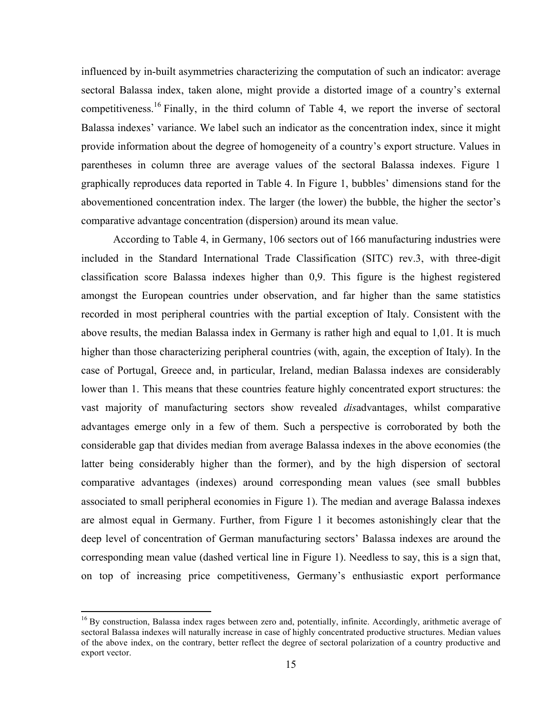influenced by in-built asymmetries characterizing the computation of such an indicator: average sectoral Balassa index, taken alone, might provide a distorted image of a country's external competitiveness.<sup>16</sup> Finally, in the third column of Table 4, we report the inverse of sectoral Balassa indexes' variance. We label such an indicator as the concentration index, since it might provide information about the degree of homogeneity of a country's export structure. Values in parentheses in column three are average values of the sectoral Balassa indexes. Figure 1 graphically reproduces data reported in Table 4. In Figure 1, bubbles' dimensions stand for the abovementioned concentration index. The larger (the lower) the bubble, the higher the sector's comparative advantage concentration (dispersion) around its mean value.

According to Table 4, in Germany, 106 sectors out of 166 manufacturing industries were included in the Standard International Trade Classification (SITC) rev.3, with three-digit classification score Balassa indexes higher than 0,9. This figure is the highest registered amongst the European countries under observation, and far higher than the same statistics recorded in most peripheral countries with the partial exception of Italy. Consistent with the above results, the median Balassa index in Germany is rather high and equal to 1,01. It is much higher than those characterizing peripheral countries (with, again, the exception of Italy). In the case of Portugal, Greece and, in particular, Ireland, median Balassa indexes are considerably lower than 1. This means that these countries feature highly concentrated export structures: the vast majority of manufacturing sectors show revealed *dis*advantages, whilst comparative advantages emerge only in a few of them. Such a perspective is corroborated by both the considerable gap that divides median from average Balassa indexes in the above economies (the latter being considerably higher than the former), and by the high dispersion of sectoral comparative advantages (indexes) around corresponding mean values (see small bubbles associated to small peripheral economies in Figure 1). The median and average Balassa indexes are almost equal in Germany. Further, from Figure 1 it becomes astonishingly clear that the deep level of concentration of German manufacturing sectors' Balassa indexes are around the corresponding mean value (dashed vertical line in Figure 1). Needless to say, this is a sign that, on top of increasing price competitiveness, Germany's enthusiastic export performance

 

<sup>&</sup>lt;sup>16</sup> By construction, Balassa index rages between zero and, potentially, infinite. Accordingly, arithmetic average of sectoral Balassa indexes will naturally increase in case of highly concentrated productive structures. Median values of the above index, on the contrary, better reflect the degree of sectoral polarization of a country productive and export vector.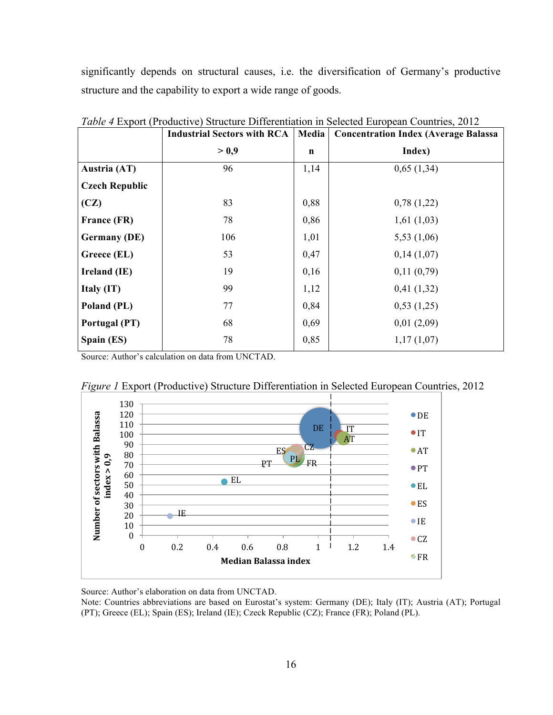significantly depends on structural causes, i.e. the diversification of Germany's productive structure and the capability to export a wide range of goods.

|                       | <b>Industrial Sectors with RCA</b> | Media       | <b>Concentration Index (Average Balassa)</b> |
|-----------------------|------------------------------------|-------------|----------------------------------------------|
|                       | > 0.9                              | $\mathbf n$ | Index)                                       |
| Austria (AT)          | 96                                 | 1,14        | 0,65(1,34)                                   |
| <b>Czech Republic</b> |                                    |             |                                              |
| (CZ)                  | 83                                 | 0,88        | 0,78(1,22)                                   |
| France (FR)           | 78                                 | 0,86        | 1,61(1,03)                                   |
| <b>Germany (DE)</b>   | 106                                | 1,01        | 5,53(1,06)                                   |
| Greece (EL)           | 53                                 | 0,47        | 0,14(1,07)                                   |
| Ireland (IE)          | 19                                 | 0,16        | 0,11(0,79)                                   |
| Italy (IT)            | 99                                 | 1,12        | 0,41(1,32)                                   |
| Poland (PL)           | 77                                 | 0,84        | 0,53(1,25)                                   |
| Portugal (PT)         | 68                                 | 0,69        | 0,01(2,09)                                   |
| Spain (ES)            | 78                                 | 0,85        | 1,17(1,07)                                   |

*Table 4* Export (Productive) Structure Differentiation in Selected European Countries, 2012

Source: Author's calculation on data from UNCTAD.



*Figure 1* Export (Productive) Structure Differentiation in Selected European Countries, 2012

Source: Author's elaboration on data from UNCTAD.

Note: Countries abbreviations are based on Eurostat's system: Germany (DE); Italy (IT); Austria (AT); Portugal (PT); Greece (EL); Spain (ES); Ireland (IE); Czeck Republic (CZ); France (FR); Poland (PL).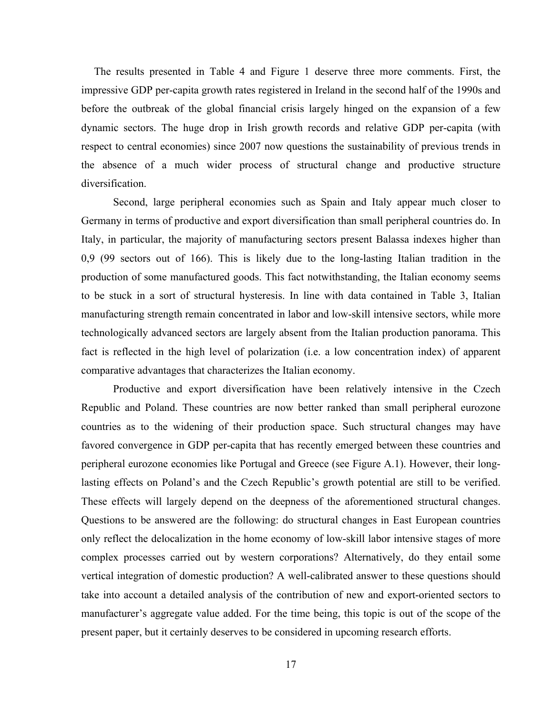The results presented in Table 4 and Figure 1 deserve three more comments. First, the impressive GDP per-capita growth rates registered in Ireland in the second half of the 1990s and before the outbreak of the global financial crisis largely hinged on the expansion of a few dynamic sectors. The huge drop in Irish growth records and relative GDP per-capita (with respect to central economies) since 2007 now questions the sustainability of previous trends in the absence of a much wider process of structural change and productive structure diversification.

Second, large peripheral economies such as Spain and Italy appear much closer to Germany in terms of productive and export diversification than small peripheral countries do. In Italy, in particular, the majority of manufacturing sectors present Balassa indexes higher than 0,9 (99 sectors out of 166). This is likely due to the long-lasting Italian tradition in the production of some manufactured goods. This fact notwithstanding, the Italian economy seems to be stuck in a sort of structural hysteresis. In line with data contained in Table 3, Italian manufacturing strength remain concentrated in labor and low-skill intensive sectors, while more technologically advanced sectors are largely absent from the Italian production panorama. This fact is reflected in the high level of polarization (i.e. a low concentration index) of apparent comparative advantages that characterizes the Italian economy.

Productive and export diversification have been relatively intensive in the Czech Republic and Poland. These countries are now better ranked than small peripheral eurozone countries as to the widening of their production space. Such structural changes may have favored convergence in GDP per-capita that has recently emerged between these countries and peripheral eurozone economies like Portugal and Greece (see Figure A.1). However, their longlasting effects on Poland's and the Czech Republic's growth potential are still to be verified. These effects will largely depend on the deepness of the aforementioned structural changes. Questions to be answered are the following: do structural changes in East European countries only reflect the delocalization in the home economy of low-skill labor intensive stages of more complex processes carried out by western corporations? Alternatively, do they entail some vertical integration of domestic production? A well-calibrated answer to these questions should take into account a detailed analysis of the contribution of new and export-oriented sectors to manufacturer's aggregate value added. For the time being, this topic is out of the scope of the present paper, but it certainly deserves to be considered in upcoming research efforts.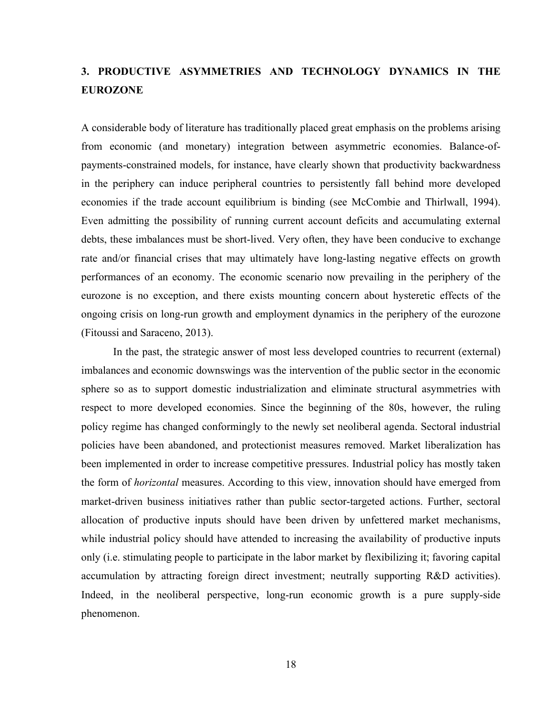# **3. PRODUCTIVE ASYMMETRIES AND TECHNOLOGY DYNAMICS IN THE EUROZONE**

A considerable body of literature has traditionally placed great emphasis on the problems arising from economic (and monetary) integration between asymmetric economies. Balance-ofpayments-constrained models, for instance, have clearly shown that productivity backwardness in the periphery can induce peripheral countries to persistently fall behind more developed economies if the trade account equilibrium is binding (see McCombie and Thirlwall, 1994). Even admitting the possibility of running current account deficits and accumulating external debts, these imbalances must be short-lived. Very often, they have been conducive to exchange rate and/or financial crises that may ultimately have long-lasting negative effects on growth performances of an economy. The economic scenario now prevailing in the periphery of the eurozone is no exception, and there exists mounting concern about hysteretic effects of the ongoing crisis on long-run growth and employment dynamics in the periphery of the eurozone (Fitoussi and Saraceno, 2013).

In the past, the strategic answer of most less developed countries to recurrent (external) imbalances and economic downswings was the intervention of the public sector in the economic sphere so as to support domestic industrialization and eliminate structural asymmetries with respect to more developed economies. Since the beginning of the 80s, however, the ruling policy regime has changed conformingly to the newly set neoliberal agenda. Sectoral industrial policies have been abandoned, and protectionist measures removed. Market liberalization has been implemented in order to increase competitive pressures. Industrial policy has mostly taken the form of *horizontal* measures. According to this view, innovation should have emerged from market-driven business initiatives rather than public sector-targeted actions. Further, sectoral allocation of productive inputs should have been driven by unfettered market mechanisms, while industrial policy should have attended to increasing the availability of productive inputs only (i.e. stimulating people to participate in the labor market by flexibilizing it; favoring capital accumulation by attracting foreign direct investment; neutrally supporting R&D activities). Indeed, in the neoliberal perspective, long-run economic growth is a pure supply-side phenomenon.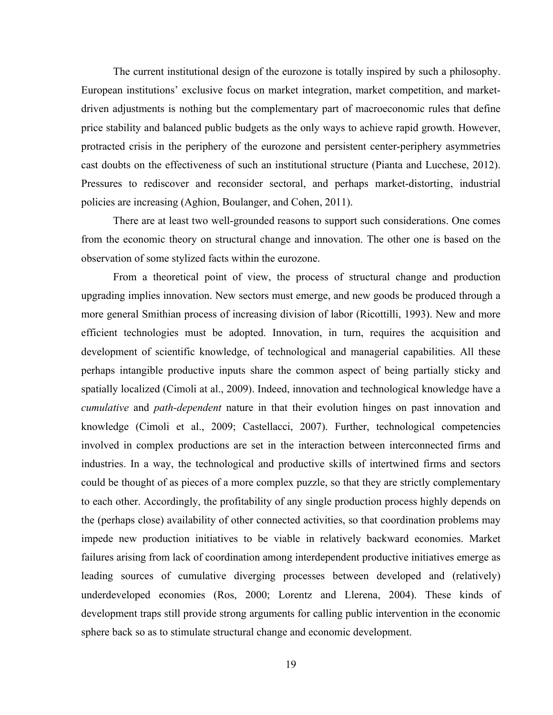The current institutional design of the eurozone is totally inspired by such a philosophy. European institutions' exclusive focus on market integration, market competition, and marketdriven adjustments is nothing but the complementary part of macroeconomic rules that define price stability and balanced public budgets as the only ways to achieve rapid growth. However, protracted crisis in the periphery of the eurozone and persistent center-periphery asymmetries cast doubts on the effectiveness of such an institutional structure (Pianta and Lucchese, 2012). Pressures to rediscover and reconsider sectoral, and perhaps market-distorting, industrial policies are increasing (Aghion, Boulanger, and Cohen, 2011).

There are at least two well-grounded reasons to support such considerations. One comes from the economic theory on structural change and innovation. The other one is based on the observation of some stylized facts within the eurozone.

From a theoretical point of view, the process of structural change and production upgrading implies innovation. New sectors must emerge, and new goods be produced through a more general Smithian process of increasing division of labor (Ricottilli, 1993). New and more efficient technologies must be adopted. Innovation, in turn, requires the acquisition and development of scientific knowledge, of technological and managerial capabilities. All these perhaps intangible productive inputs share the common aspect of being partially sticky and spatially localized (Cimoli at al., 2009). Indeed, innovation and technological knowledge have a *cumulative* and *path-dependent* nature in that their evolution hinges on past innovation and knowledge (Cimoli et al., 2009; Castellacci, 2007). Further, technological competencies involved in complex productions are set in the interaction between interconnected firms and industries. In a way, the technological and productive skills of intertwined firms and sectors could be thought of as pieces of a more complex puzzle, so that they are strictly complementary to each other. Accordingly, the profitability of any single production process highly depends on the (perhaps close) availability of other connected activities, so that coordination problems may impede new production initiatives to be viable in relatively backward economies. Market failures arising from lack of coordination among interdependent productive initiatives emerge as leading sources of cumulative diverging processes between developed and (relatively) underdeveloped economies (Ros, 2000; Lorentz and Llerena, 2004). These kinds of development traps still provide strong arguments for calling public intervention in the economic sphere back so as to stimulate structural change and economic development.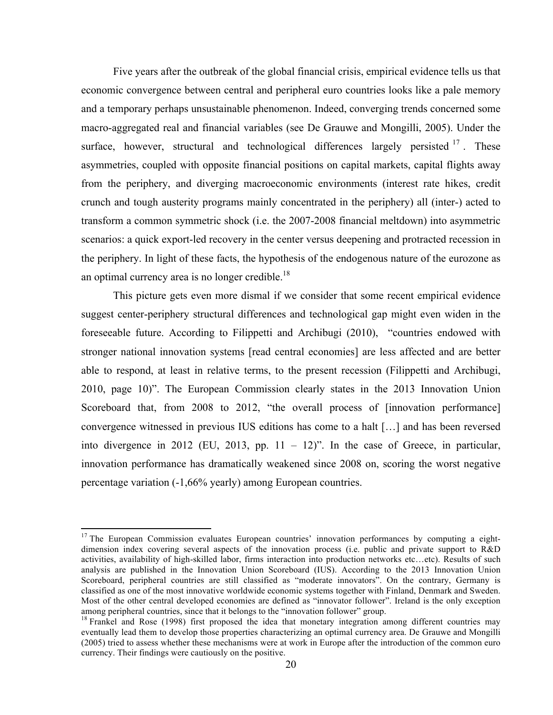Five years after the outbreak of the global financial crisis, empirical evidence tells us that economic convergence between central and peripheral euro countries looks like a pale memory and a temporary perhaps unsustainable phenomenon. Indeed, converging trends concerned some macro-aggregated real and financial variables (see De Grauwe and Mongilli, 2005). Under the surface, however, structural and technological differences largely persisted  $17$ . These asymmetries, coupled with opposite financial positions on capital markets, capital flights away from the periphery, and diverging macroeconomic environments (interest rate hikes, credit crunch and tough austerity programs mainly concentrated in the periphery) all (inter-) acted to transform a common symmetric shock (i.e. the 2007-2008 financial meltdown) into asymmetric scenarios: a quick export-led recovery in the center versus deepening and protracted recession in the periphery. In light of these facts, the hypothesis of the endogenous nature of the eurozone as an optimal currency area is no longer credible.<sup>18</sup>

This picture gets even more dismal if we consider that some recent empirical evidence suggest center-periphery structural differences and technological gap might even widen in the foreseeable future. According to Filippetti and Archibugi (2010), "countries endowed with stronger national innovation systems [read central economies] are less affected and are better able to respond, at least in relative terms, to the present recession (Filippetti and Archibugi, 2010, page 10)". The European Commission clearly states in the 2013 Innovation Union Scoreboard that, from 2008 to 2012, "the overall process of [innovation performance] convergence witnessed in previous IUS editions has come to a halt […] and has been reversed into divergence in 2012 (EU, 2013, pp.  $11 - 12$ )". In the case of Greece, in particular, innovation performance has dramatically weakened since 2008 on, scoring the worst negative percentage variation (-1,66% yearly) among European countries.

<u> 1989 - Johann Stein, markin film yn y breninn y breninn y breninn y breninn y breninn y breninn y breninn y b</u>

 $17$  The European Commission evaluates European countries' innovation performances by computing a eightdimension index covering several aspects of the innovation process (i.e. public and private support to R&D activities, availability of high-skilled labor, firms interaction into production networks etc…etc). Results of such analysis are published in the Innovation Union Scoreboard (IUS). According to the 2013 Innovation Union Scoreboard, peripheral countries are still classified as "moderate innovators". On the contrary, Germany is classified as one of the most innovative worldwide economic systems together with Finland, Denmark and Sweden. Most of the other central developed economies are defined as "innovator follower". Ireland is the only exception among peripheral countries, since that it belongs to the "innovation follower" group.

<sup>&</sup>lt;sup>18</sup> Frankel and Rose (1998) first proposed the idea that monetary integration among different countries may eventually lead them to develop those properties characterizing an optimal currency area. De Grauwe and Mongilli (2005) tried to assess whether these mechanisms were at work in Europe after the introduction of the common euro currency. Their findings were cautiously on the positive.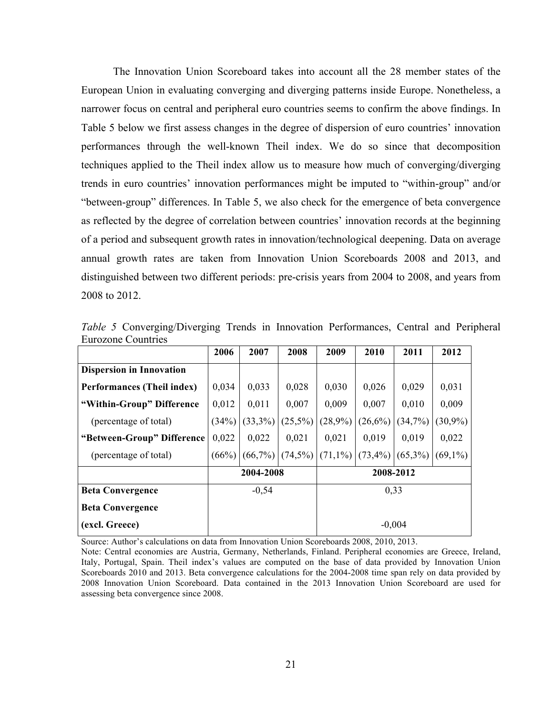The Innovation Union Scoreboard takes into account all the 28 member states of the European Union in evaluating converging and diverging patterns inside Europe. Nonetheless, a narrower focus on central and peripheral euro countries seems to confirm the above findings. In Table 5 below we first assess changes in the degree of dispersion of euro countries' innovation performances through the well-known Theil index. We do so since that decomposition techniques applied to the Theil index allow us to measure how much of converging/diverging trends in euro countries' innovation performances might be imputed to "within-group" and/or "between-group" differences. In Table 5, we also check for the emergence of beta convergence as reflected by the degree of correlation between countries' innovation records at the beginning of a period and subsequent growth rates in innovation/technological deepening. Data on average annual growth rates are taken from Innovation Union Scoreboards 2008 and 2013, and distinguished between two different periods: pre-crisis years from 2004 to 2008, and years from 2008 to 2012.

|                                 | 2006                   | 2007    | 2008       | 2009               | 2010       | 2011       | 2012       |  |
|---------------------------------|------------------------|---------|------------|--------------------|------------|------------|------------|--|
| <b>Dispersion in Innovation</b> |                        |         |            |                    |            |            |            |  |
| Performances (Theil index)      | 0,034                  | 0,033   | 0,028      | 0,030              | 0,026      | 0,029      | 0,031      |  |
| "Within-Group" Difference       | 0,012                  | 0,011   | 0,007      | 0,009              | 0,007      | 0,010      | 0,009      |  |
| (percentage of total)           | (34%)                  | (33,3%) | $(25,5\%)$ | (28,9%)            | (26,6%)    | (34,7%)    | $(30,9\%)$ |  |
| "Between-Group" Difference      | 0,022                  | 0,022   | 0,021      | 0,021              | 0.019      | 0.019      | 0,022      |  |
| (percentage of total)           | (66%)                  | (66,7%) |            | $(74,5\%)$ (71,1%) | $(73,4\%)$ | $(65,3\%)$ | $(69,1\%)$ |  |
|                                 | 2004-2008<br>2008-2012 |         |            |                    |            |            |            |  |
| <b>Beta Convergence</b>         |                        | $-0,54$ |            | 0,33               |            |            |            |  |
| <b>Beta Convergence</b>         |                        |         |            |                    |            |            |            |  |
| (excl. Greece)                  |                        |         |            | $-0,004$           |            |            |            |  |

*Table 5* Converging/Diverging Trends in Innovation Performances, Central and Peripheral Eurozone Countries

Source: Author's calculations on data from Innovation Union Scoreboards 2008, 2010, 2013.

Note: Central economies are Austria, Germany, Netherlands, Finland. Peripheral economies are Greece, Ireland, Italy, Portugal, Spain. Theil index's values are computed on the base of data provided by Innovation Union Scoreboards 2010 and 2013. Beta convergence calculations for the 2004-2008 time span rely on data provided by 2008 Innovation Union Scoreboard. Data contained in the 2013 Innovation Union Scoreboard are used for assessing beta convergence since 2008.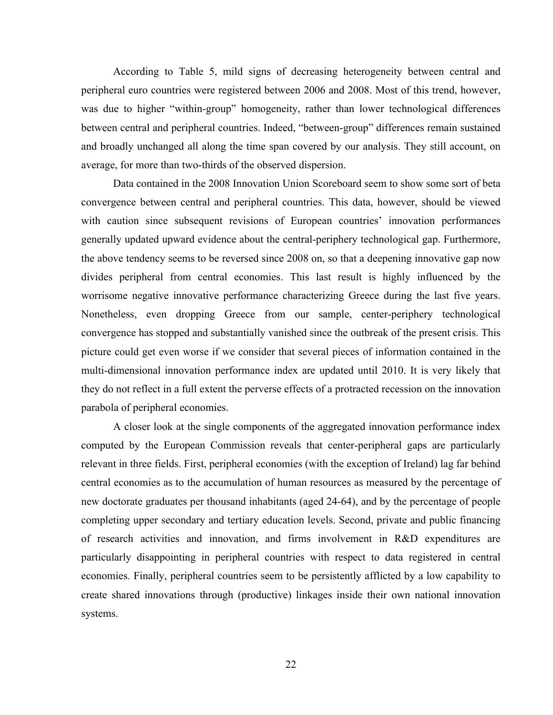According to Table 5, mild signs of decreasing heterogeneity between central and peripheral euro countries were registered between 2006 and 2008. Most of this trend, however, was due to higher "within-group" homogeneity, rather than lower technological differences between central and peripheral countries. Indeed, "between-group" differences remain sustained and broadly unchanged all along the time span covered by our analysis. They still account, on average, for more than two-thirds of the observed dispersion.

Data contained in the 2008 Innovation Union Scoreboard seem to show some sort of beta convergence between central and peripheral countries. This data, however, should be viewed with caution since subsequent revisions of European countries' innovation performances generally updated upward evidence about the central-periphery technological gap. Furthermore, the above tendency seems to be reversed since 2008 on, so that a deepening innovative gap now divides peripheral from central economies. This last result is highly influenced by the worrisome negative innovative performance characterizing Greece during the last five years. Nonetheless, even dropping Greece from our sample, center-periphery technological convergence has stopped and substantially vanished since the outbreak of the present crisis. This picture could get even worse if we consider that several pieces of information contained in the multi-dimensional innovation performance index are updated until 2010. It is very likely that they do not reflect in a full extent the perverse effects of a protracted recession on the innovation parabola of peripheral economies.

A closer look at the single components of the aggregated innovation performance index computed by the European Commission reveals that center-peripheral gaps are particularly relevant in three fields. First, peripheral economies (with the exception of Ireland) lag far behind central economies as to the accumulation of human resources as measured by the percentage of new doctorate graduates per thousand inhabitants (aged 24-64), and by the percentage of people completing upper secondary and tertiary education levels. Second, private and public financing of research activities and innovation, and firms involvement in R&D expenditures are particularly disappointing in peripheral countries with respect to data registered in central economies. Finally, peripheral countries seem to be persistently afflicted by a low capability to create shared innovations through (productive) linkages inside their own national innovation systems.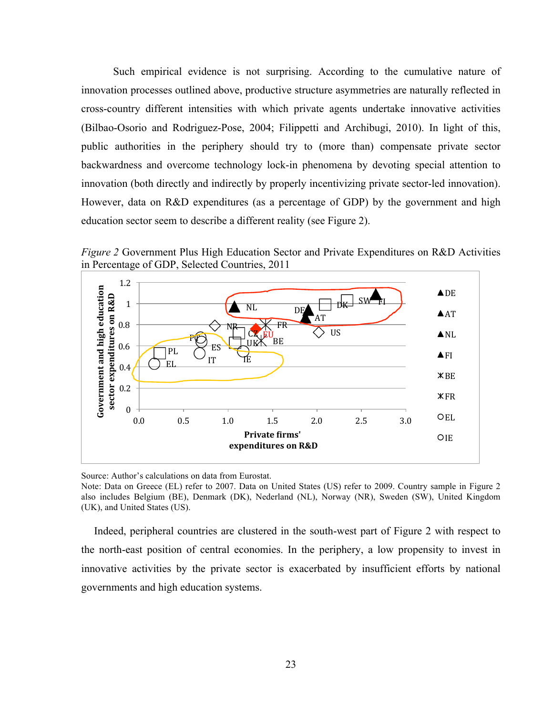Such empirical evidence is not surprising. According to the cumulative nature of innovation processes outlined above, productive structure asymmetries are naturally reflected in cross-country different intensities with which private agents undertake innovative activities (Bilbao-Osorio and Rodriguez-Pose, 2004; Filippetti and Archibugi, 2010). In light of this, public authorities in the periphery should try to (more than) compensate private sector backwardness and overcome technology lock-in phenomena by devoting special attention to innovation (both directly and indirectly by properly incentivizing private sector-led innovation). However, data on R&D expenditures (as a percentage of GDP) by the government and high education sector seem to describe a different reality (see Figure 2).

*Figure 2* Government Plus High Education Sector and Private Expenditures on R&D Activities in Percentage of GDP, Selected Countries, 2011



Source: Author's calculations on data from Eurostat.

Note: Data on Greece (EL) refer to 2007. Data on United States (US) refer to 2009. Country sample in Figure 2 also includes Belgium (BE), Denmark (DK), Nederland (NL), Norway (NR), Sweden (SW), United Kingdom (UK), and United States (US).

Indeed, peripheral countries are clustered in the south-west part of Figure 2 with respect to the north-east position of central economies. In the periphery, a low propensity to invest in innovative activities by the private sector is exacerbated by insufficient efforts by national governments and high education systems.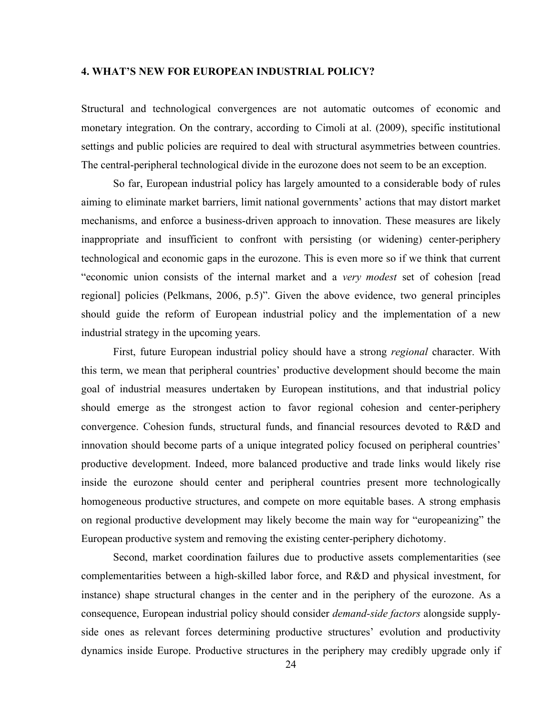### **4. WHAT'S NEW FOR EUROPEAN INDUSTRIAL POLICY?**

Structural and technological convergences are not automatic outcomes of economic and monetary integration. On the contrary, according to Cimoli at al. (2009), specific institutional settings and public policies are required to deal with structural asymmetries between countries. The central-peripheral technological divide in the eurozone does not seem to be an exception.

So far, European industrial policy has largely amounted to a considerable body of rules aiming to eliminate market barriers, limit national governments' actions that may distort market mechanisms, and enforce a business-driven approach to innovation. These measures are likely inappropriate and insufficient to confront with persisting (or widening) center-periphery technological and economic gaps in the eurozone. This is even more so if we think that current "economic union consists of the internal market and a *very modest* set of cohesion [read regional] policies (Pelkmans, 2006, p.5)". Given the above evidence, two general principles should guide the reform of European industrial policy and the implementation of a new industrial strategy in the upcoming years.

First, future European industrial policy should have a strong *regional* character. With this term, we mean that peripheral countries' productive development should become the main goal of industrial measures undertaken by European institutions, and that industrial policy should emerge as the strongest action to favor regional cohesion and center-periphery convergence. Cohesion funds, structural funds, and financial resources devoted to R&D and innovation should become parts of a unique integrated policy focused on peripheral countries' productive development. Indeed, more balanced productive and trade links would likely rise inside the eurozone should center and peripheral countries present more technologically homogeneous productive structures, and compete on more equitable bases. A strong emphasis on regional productive development may likely become the main way for "europeanizing" the European productive system and removing the existing center-periphery dichotomy.

Second, market coordination failures due to productive assets complementarities (see complementarities between a high-skilled labor force, and R&D and physical investment, for instance) shape structural changes in the center and in the periphery of the eurozone. As a consequence, European industrial policy should consider *demand-side factors* alongside supplyside ones as relevant forces determining productive structures' evolution and productivity dynamics inside Europe. Productive structures in the periphery may credibly upgrade only if

24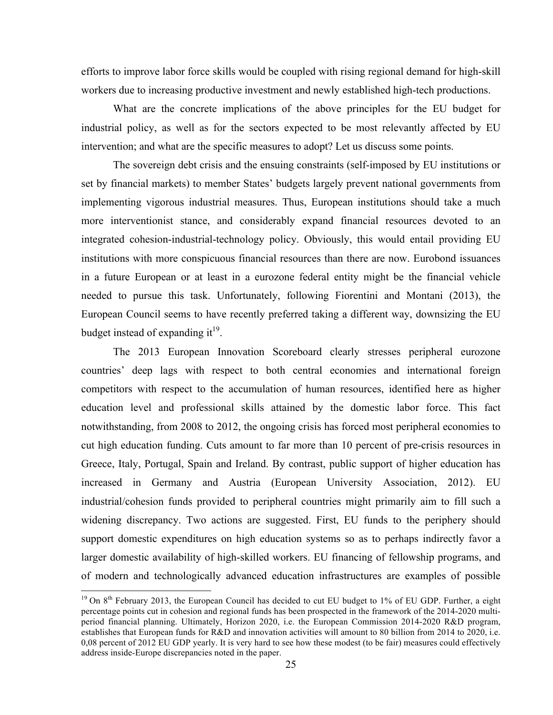efforts to improve labor force skills would be coupled with rising regional demand for high-skill workers due to increasing productive investment and newly established high-tech productions.

What are the concrete implications of the above principles for the EU budget for industrial policy, as well as for the sectors expected to be most relevantly affected by EU intervention; and what are the specific measures to adopt? Let us discuss some points.

The sovereign debt crisis and the ensuing constraints (self-imposed by EU institutions or set by financial markets) to member States' budgets largely prevent national governments from implementing vigorous industrial measures. Thus, European institutions should take a much more interventionist stance, and considerably expand financial resources devoted to an integrated cohesion-industrial-technology policy. Obviously, this would entail providing EU institutions with more conspicuous financial resources than there are now. Eurobond issuances in a future European or at least in a eurozone federal entity might be the financial vehicle needed to pursue this task. Unfortunately, following Fiorentini and Montani (2013), the European Council seems to have recently preferred taking a different way, downsizing the EU budget instead of expanding it<sup>19</sup>.

The 2013 European Innovation Scoreboard clearly stresses peripheral eurozone countries' deep lags with respect to both central economies and international foreign competitors with respect to the accumulation of human resources, identified here as higher education level and professional skills attained by the domestic labor force. This fact notwithstanding, from 2008 to 2012, the ongoing crisis has forced most peripheral economies to cut high education funding. Cuts amount to far more than 10 percent of pre-crisis resources in Greece, Italy, Portugal, Spain and Ireland. By contrast, public support of higher education has increased in Germany and Austria (European University Association, 2012). EU industrial/cohesion funds provided to peripheral countries might primarily aim to fill such a widening discrepancy. Two actions are suggested. First, EU funds to the periphery should support domestic expenditures on high education systems so as to perhaps indirectly favor a larger domestic availability of high-skilled workers. EU financing of fellowship programs, and of modern and technologically advanced education infrastructures are examples of possible

<u> 1989 - Johann Stein, markin film yn y breninn y breninn y breninn y breninn y breninn y breninn y breninn y b</u>

<sup>&</sup>lt;sup>19</sup> On  $8<sup>th</sup>$  February 2013, the European Council has decided to cut EU budget to 1% of EU GDP. Further, a eight percentage points cut in cohesion and regional funds has been prospected in the framework of the 2014-2020 multiperiod financial planning. Ultimately, Horizon 2020, i.e. the European Commission 2014-2020 R&D program, establishes that European funds for R&D and innovation activities will amount to 80 billion from 2014 to 2020, i.e. 0,08 percent of 2012 EU GDP yearly. It is very hard to see how these modest (to be fair) measures could effectively address inside-Europe discrepancies noted in the paper.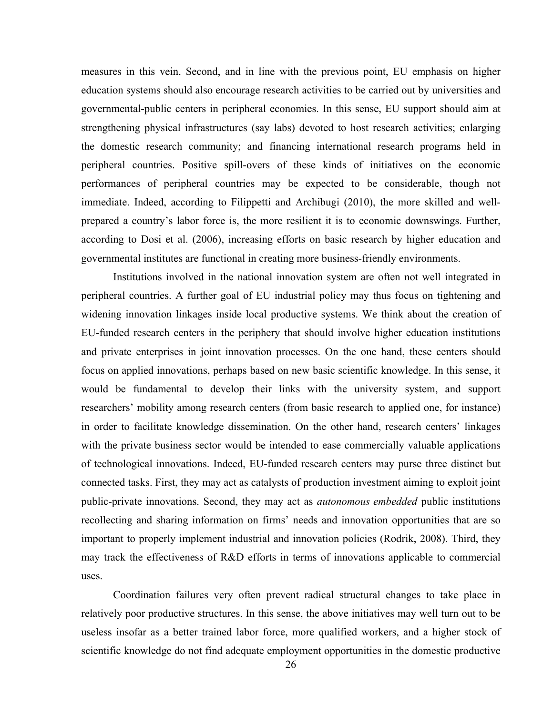measures in this vein. Second, and in line with the previous point, EU emphasis on higher education systems should also encourage research activities to be carried out by universities and governmental-public centers in peripheral economies. In this sense, EU support should aim at strengthening physical infrastructures (say labs) devoted to host research activities; enlarging the domestic research community; and financing international research programs held in peripheral countries. Positive spill-overs of these kinds of initiatives on the economic performances of peripheral countries may be expected to be considerable, though not immediate. Indeed, according to Filippetti and Archibugi (2010), the more skilled and wellprepared a country's labor force is, the more resilient it is to economic downswings. Further, according to Dosi et al. (2006), increasing efforts on basic research by higher education and governmental institutes are functional in creating more business-friendly environments.

Institutions involved in the national innovation system are often not well integrated in peripheral countries. A further goal of EU industrial policy may thus focus on tightening and widening innovation linkages inside local productive systems. We think about the creation of EU-funded research centers in the periphery that should involve higher education institutions and private enterprises in joint innovation processes. On the one hand, these centers should focus on applied innovations, perhaps based on new basic scientific knowledge. In this sense, it would be fundamental to develop their links with the university system, and support researchers' mobility among research centers (from basic research to applied one, for instance) in order to facilitate knowledge dissemination. On the other hand, research centers' linkages with the private business sector would be intended to ease commercially valuable applications of technological innovations. Indeed, EU-funded research centers may purse three distinct but connected tasks. First, they may act as catalysts of production investment aiming to exploit joint public-private innovations. Second, they may act as *autonomous embedded* public institutions recollecting and sharing information on firms' needs and innovation opportunities that are so important to properly implement industrial and innovation policies (Rodrik, 2008). Third, they may track the effectiveness of R&D efforts in terms of innovations applicable to commercial uses.

Coordination failures very often prevent radical structural changes to take place in relatively poor productive structures. In this sense, the above initiatives may well turn out to be useless insofar as a better trained labor force, more qualified workers, and a higher stock of scientific knowledge do not find adequate employment opportunities in the domestic productive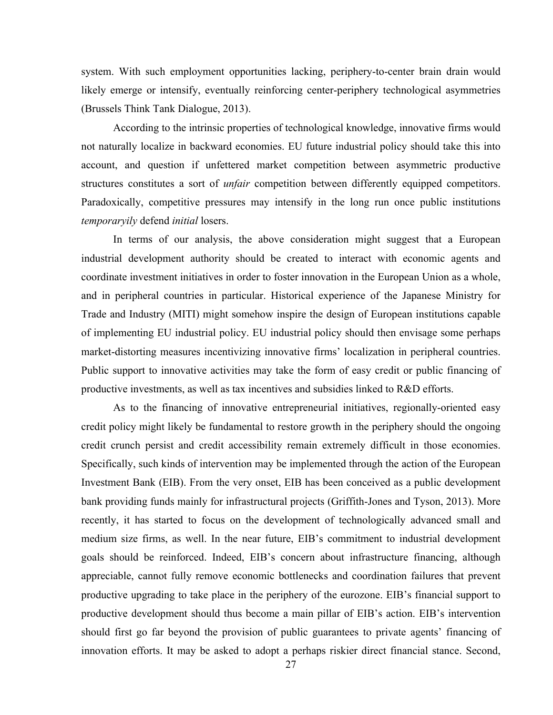system. With such employment opportunities lacking, periphery-to-center brain drain would likely emerge or intensify, eventually reinforcing center-periphery technological asymmetries (Brussels Think Tank Dialogue, 2013).

According to the intrinsic properties of technological knowledge, innovative firms would not naturally localize in backward economies. EU future industrial policy should take this into account, and question if unfettered market competition between asymmetric productive structures constitutes a sort of *unfair* competition between differently equipped competitors. Paradoxically, competitive pressures may intensify in the long run once public institutions *temporaryily* defend *initial* losers.

In terms of our analysis, the above consideration might suggest that a European industrial development authority should be created to interact with economic agents and coordinate investment initiatives in order to foster innovation in the European Union as a whole, and in peripheral countries in particular. Historical experience of the Japanese Ministry for Trade and Industry (MITI) might somehow inspire the design of European institutions capable of implementing EU industrial policy. EU industrial policy should then envisage some perhaps market-distorting measures incentivizing innovative firms' localization in peripheral countries. Public support to innovative activities may take the form of easy credit or public financing of productive investments, as well as tax incentives and subsidies linked to R&D efforts.

As to the financing of innovative entrepreneurial initiatives, regionally-oriented easy credit policy might likely be fundamental to restore growth in the periphery should the ongoing credit crunch persist and credit accessibility remain extremely difficult in those economies. Specifically, such kinds of intervention may be implemented through the action of the European Investment Bank (EIB). From the very onset, EIB has been conceived as a public development bank providing funds mainly for infrastructural projects (Griffith-Jones and Tyson, 2013). More recently, it has started to focus on the development of technologically advanced small and medium size firms, as well. In the near future, EIB's commitment to industrial development goals should be reinforced. Indeed, EIB's concern about infrastructure financing, although appreciable, cannot fully remove economic bottlenecks and coordination failures that prevent productive upgrading to take place in the periphery of the eurozone. EIB's financial support to productive development should thus become a main pillar of EIB's action. EIB's intervention should first go far beyond the provision of public guarantees to private agents' financing of innovation efforts. It may be asked to adopt a perhaps riskier direct financial stance. Second,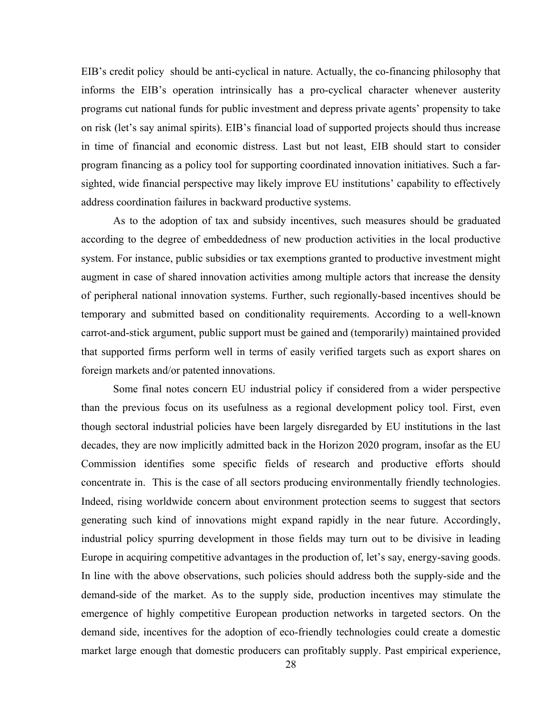EIB's credit policy should be anti-cyclical in nature. Actually, the co-financing philosophy that informs the EIB's operation intrinsically has a pro-cyclical character whenever austerity programs cut national funds for public investment and depress private agents' propensity to take on risk (let's say animal spirits). EIB's financial load of supported projects should thus increase in time of financial and economic distress. Last but not least, EIB should start to consider program financing as a policy tool for supporting coordinated innovation initiatives. Such a farsighted, wide financial perspective may likely improve EU institutions' capability to effectively address coordination failures in backward productive systems.

As to the adoption of tax and subsidy incentives, such measures should be graduated according to the degree of embeddedness of new production activities in the local productive system. For instance, public subsidies or tax exemptions granted to productive investment might augment in case of shared innovation activities among multiple actors that increase the density of peripheral national innovation systems. Further, such regionally-based incentives should be temporary and submitted based on conditionality requirements. According to a well-known carrot-and-stick argument, public support must be gained and (temporarily) maintained provided that supported firms perform well in terms of easily verified targets such as export shares on foreign markets and/or patented innovations.

Some final notes concern EU industrial policy if considered from a wider perspective than the previous focus on its usefulness as a regional development policy tool. First, even though sectoral industrial policies have been largely disregarded by EU institutions in the last decades, they are now implicitly admitted back in the Horizon 2020 program, insofar as the EU Commission identifies some specific fields of research and productive efforts should concentrate in. This is the case of all sectors producing environmentally friendly technologies. Indeed, rising worldwide concern about environment protection seems to suggest that sectors generating such kind of innovations might expand rapidly in the near future. Accordingly, industrial policy spurring development in those fields may turn out to be divisive in leading Europe in acquiring competitive advantages in the production of, let's say, energy-saving goods. In line with the above observations, such policies should address both the supply-side and the demand-side of the market. As to the supply side, production incentives may stimulate the emergence of highly competitive European production networks in targeted sectors. On the demand side, incentives for the adoption of eco-friendly technologies could create a domestic market large enough that domestic producers can profitably supply. Past empirical experience,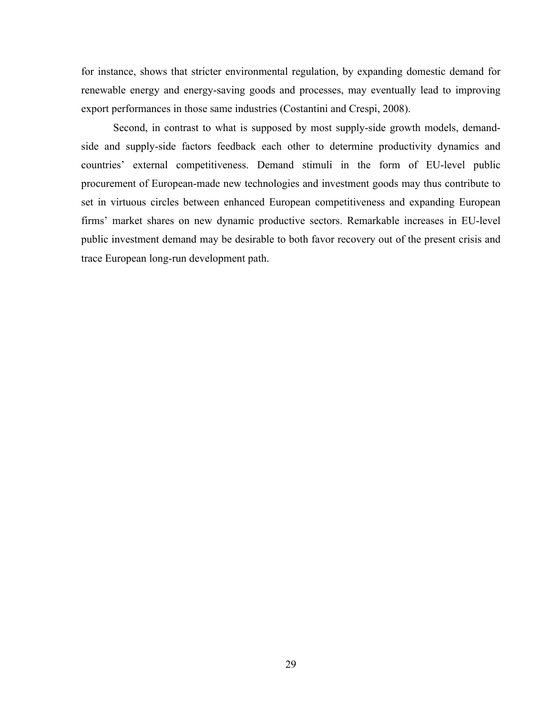for instance, shows that stricter environmental regulation, by expanding domestic demand for renewable energy and energy-saving goods and processes, may eventually lead to improving export performances in those same industries (Costantini and Crespi, 2008).

Second, in contrast to what is supposed by most supply-side growth models, demandside and supply-side factors feedback each other to determine productivity dynamics and countries' external competitiveness. Demand stimuli in the form of EU-level public procurement of European-made new technologies and investment goods may thus contribute to set in virtuous circles between enhanced European competitiveness and expanding European firms' market shares on new dynamic productive sectors. Remarkable increases in EU-level public investment demand may be desirable to both favor recovery out of the present crisis and trace European long-run development path.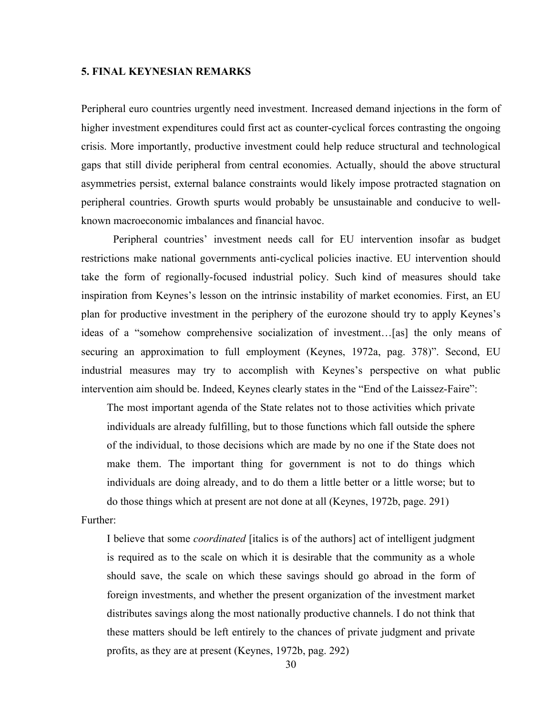### **5. FINAL KEYNESIAN REMARKS**

Peripheral euro countries urgently need investment. Increased demand injections in the form of higher investment expenditures could first act as counter-cyclical forces contrasting the ongoing crisis. More importantly, productive investment could help reduce structural and technological gaps that still divide peripheral from central economies. Actually, should the above structural asymmetries persist, external balance constraints would likely impose protracted stagnation on peripheral countries. Growth spurts would probably be unsustainable and conducive to wellknown macroeconomic imbalances and financial havoc.

Peripheral countries' investment needs call for EU intervention insofar as budget restrictions make national governments anti-cyclical policies inactive. EU intervention should take the form of regionally-focused industrial policy. Such kind of measures should take inspiration from Keynes's lesson on the intrinsic instability of market economies. First, an EU plan for productive investment in the periphery of the eurozone should try to apply Keynes's ideas of a "somehow comprehensive socialization of investment…[as] the only means of securing an approximation to full employment (Keynes, 1972a, pag. 378)". Second, EU industrial measures may try to accomplish with Keynes's perspective on what public intervention aim should be. Indeed, Keynes clearly states in the "End of the Laissez-Faire":

The most important agenda of the State relates not to those activities which private individuals are already fulfilling, but to those functions which fall outside the sphere of the individual, to those decisions which are made by no one if the State does not make them. The important thing for government is not to do things which individuals are doing already, and to do them a little better or a little worse; but to do those things which at present are not done at all (Keynes, 1972b, page. 291)

### Further:

I believe that some *coordinated* [italics is of the authors] act of intelligent judgment is required as to the scale on which it is desirable that the community as a whole should save, the scale on which these savings should go abroad in the form of foreign investments, and whether the present organization of the investment market distributes savings along the most nationally productive channels. I do not think that these matters should be left entirely to the chances of private judgment and private profits, as they are at present (Keynes, 1972b, pag. 292)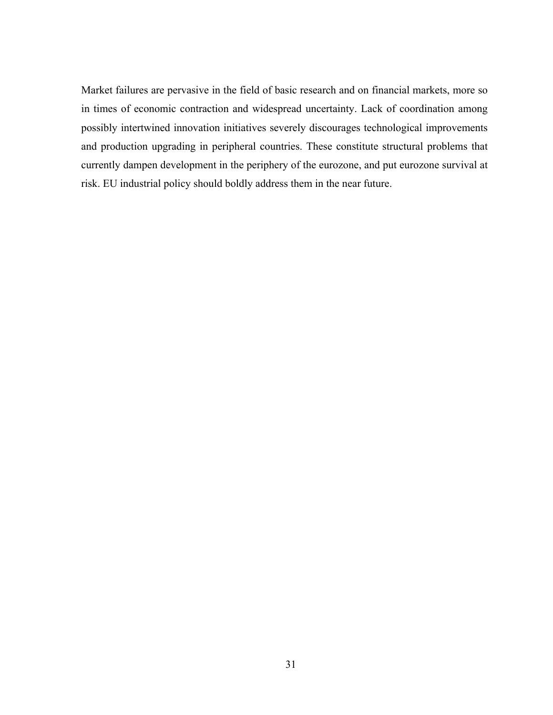Market failures are pervasive in the field of basic research and on financial markets, more so in times of economic contraction and widespread uncertainty. Lack of coordination among possibly intertwined innovation initiatives severely discourages technological improvements and production upgrading in peripheral countries. These constitute structural problems that currently dampen development in the periphery of the eurozone, and put eurozone survival at risk. EU industrial policy should boldly address them in the near future.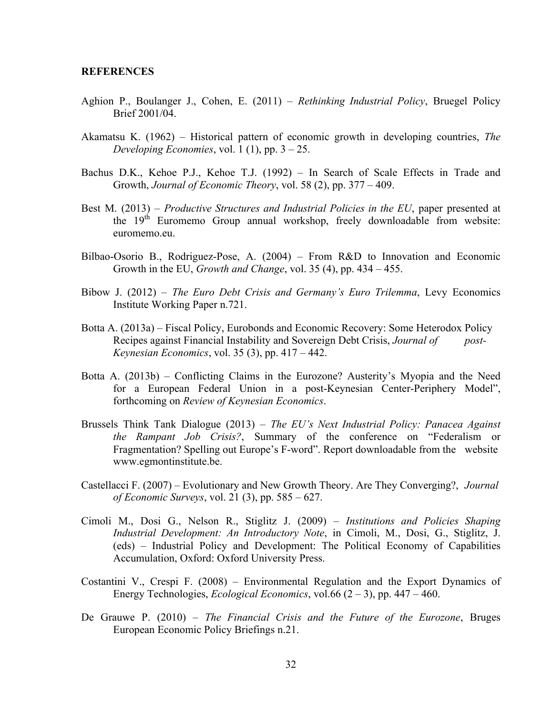## **REFERENCES**

- Aghion P., Boulanger J., Cohen, E. (2011) *Rethinking Industrial Policy*, Bruegel Policy Brief 2001/04.
- Akamatsu K. (1962) Historical pattern of economic growth in developing countries, *The Developing Economies*, vol. 1 (1), pp. 3 – 25.
- Bachus D.K., Kehoe P.J., Kehoe T.J. (1992) In Search of Scale Effects in Trade and Growth, *Journal of Economic Theory*, vol. 58 (2), pp. 377 – 409.
- Best M. (2013) *Productive Structures and Industrial Policies in the EU*, paper presented at the  $19<sup>th</sup>$  Euromemo Group annual workshop, freely downloadable from website: euromemo.eu.
- Bilbao-Osorio B., Rodriguez-Pose, A. (2004) From R&D to Innovation and Economic Growth in the EU, *Growth and Change*, vol. 35 (4), pp. 434 – 455.
- Bibow J. (2012) *The Euro Debt Crisis and Germany's Euro Trilemma*, Levy Economics Institute Working Paper n.721.
- Botta A. (2013a) Fiscal Policy, Eurobonds and Economic Recovery: Some Heterodox Policy Recipes against Financial Instability and Sovereign Debt Crisis, *Journal of post-Keynesian Economics*, vol. 35 (3), pp. 417 – 442.
- Botta A. (2013b) Conflicting Claims in the Eurozone? Austerity's Myopia and the Need for a European Federal Union in a post-Keynesian Center-Periphery Model", forthcoming on *Review of Keynesian Economics*.
- Brussels Think Tank Dialogue (2013) *The EU's Next Industrial Policy: Panacea Against the Rampant Job Crisis?*, Summary of the conference on "Federalism or Fragmentation? Spelling out Europe's F-word". Report downloadable from the website www.egmontinstitute.be.
- Castellacci F. (2007) Evolutionary and New Growth Theory. Are They Converging?, *Journal of Economic Surveys*, vol. 21 (3), pp. 585 – 627.
- Cimoli M., Dosi G., Nelson R., Stiglitz J. (2009) *Institutions and Policies Shaping Industrial Development: An Introductory Note*, in Cimoli, M., Dosi, G., Stiglitz, J. (eds) – Industrial Policy and Development: The Political Economy of Capabilities Accumulation, Oxford: Oxford University Press.
- Costantini V., Crespi F. (2008) Environmental Regulation and the Export Dynamics of Energy Technologies, *Ecological Economics*, vol.66 (2 – 3), pp. 447 – 460.
- De Grauwe P. (2010) *The Financial Crisis and the Future of the Eurozone*, Bruges European Economic Policy Briefings n.21.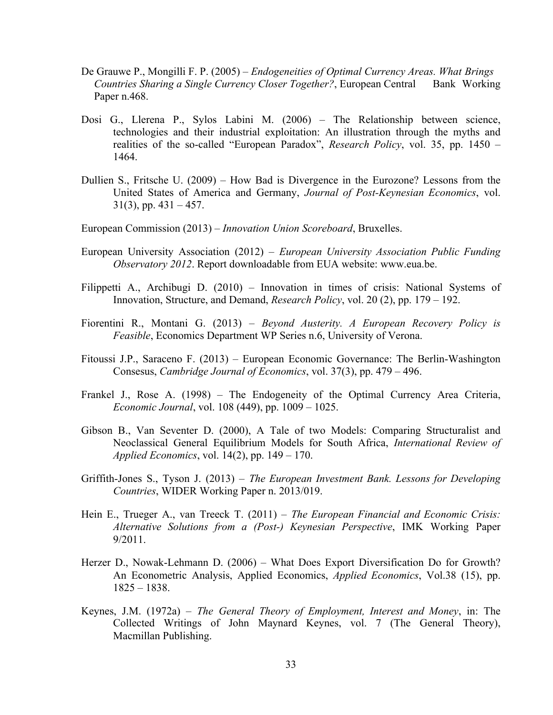- De Grauwe P., Mongilli F. P. (2005) *Endogeneities of Optimal Currency Areas. What Brings Countries Sharing a Single Currency Closer Together?*, European Central Bank Working Paper n.468.
- Dosi G., Llerena P., Sylos Labini M. (2006) The Relationship between science, technologies and their industrial exploitation: An illustration through the myths and realities of the so-called "European Paradox", *Research Policy*, vol. 35, pp. 1450 – 1464.
- Dullien S., Fritsche U. (2009) How Bad is Divergence in the Eurozone? Lessons from the United States of America and Germany, *Journal of Post-Keynesian Economics*, vol.  $31(3)$ , pp.  $431 - 457$ .
- European Commission (2013) *Innovation Union Scoreboard*, Bruxelles.
- European University Association (2012) *European University Association Public Funding Observatory 2012*. Report downloadable from EUA website: www.eua.be.
- Filippetti A., Archibugi D. (2010) Innovation in times of crisis: National Systems of Innovation, Structure, and Demand, *Research Policy*, vol. 20 (2), pp. 179 – 192.
- Fiorentini R., Montani G. (2013) *Beyond Austerity. A European Recovery Policy is Feasible*, Economics Department WP Series n.6, University of Verona.
- Fitoussi J.P., Saraceno F. (2013) European Economic Governance: The Berlin-Washington Consesus, *Cambridge Journal of Economics*, vol. 37(3), pp. 479 – 496.
- Frankel J., Rose A. (1998) The Endogeneity of the Optimal Currency Area Criteria, *Economic Journal*, vol. 108 (449), pp. 1009 – 1025.
- Gibson B., Van Seventer D. (2000), A Tale of two Models: Comparing Structuralist and Neoclassical General Equilibrium Models for South Africa, *International Review of Applied Economics*, vol. 14(2), pp. 149 – 170.
- Griffith-Jones S., Tyson J. (2013) *The European Investment Bank. Lessons for Developing Countries*, WIDER Working Paper n. 2013/019.
- Hein E., Trueger A., van Treeck T. (2011) *The European Financial and Economic Crisis: Alternative Solutions from a (Post-) Keynesian Perspective*, IMK Working Paper 9/2011.
- Herzer D., Nowak-Lehmann D. (2006) What Does Export Diversification Do for Growth? An Econometric Analysis, Applied Economics, *Applied Economics*, Vol.38 (15), pp. 1825 – 1838.
- Keynes, J.M. (1972a) *The General Theory of Employment, Interest and Money*, in: The Collected Writings of John Maynard Keynes, vol. 7 (The General Theory), Macmillan Publishing.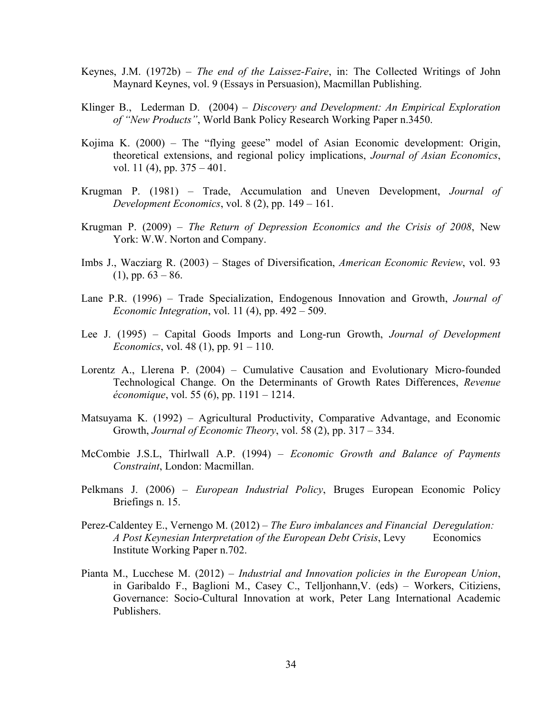- Keynes, J.M. (1972b) *The end of the Laissez-Faire*, in: The Collected Writings of John Maynard Keynes, vol. 9 (Essays in Persuasion), Macmillan Publishing.
- Klinger B., Lederman D. (2004) *Discovery and Development: An Empirical Exploration of "New Products"*, World Bank Policy Research Working Paper n.3450.
- Kojima K. (2000) The "flying geese" model of Asian Economic development: Origin, theoretical extensions, and regional policy implications, *Journal of Asian Economics*, vol. 11 (4), pp. 375 – 401.
- Krugman P. (1981) Trade, Accumulation and Uneven Development, *Journal of Development Economics*, vol. 8 (2), pp. 149 – 161.
- Krugman P. (2009) *The Return of Depression Economics and the Crisis of 2008*, New York: W.W. Norton and Company.
- Imbs J., Wacziarg R. (2003) Stages of Diversification, *American Economic Review*, vol. 93  $(1)$ , pp.  $63 - 86$ .
- Lane P.R. (1996) Trade Specialization, Endogenous Innovation and Growth, *Journal of Economic Integration*, vol. 11 (4), pp. 492 – 509.
- Lee J. (1995) Capital Goods Imports and Long-run Growth, *Journal of Development Economics*, vol. 48 (1), pp. 91 – 110.
- Lorentz A., Llerena P. (2004) Cumulative Causation and Evolutionary Micro-founded Technological Change. On the Determinants of Growth Rates Differences, *Revenue économique*, vol. 55 (6), pp. 1191 – 1214.
- Matsuyama K. (1992) Agricultural Productivity, Comparative Advantage, and Economic Growth, *Journal of Economic Theory*, vol. 58 (2), pp. 317 – 334.
- McCombie J.S.L, Thirlwall A.P. (1994) *Economic Growth and Balance of Payments Constraint*, London: Macmillan.
- Pelkmans J. (2006) *European Industrial Policy*, Bruges European Economic Policy Briefings n. 15.
- Perez-Caldentey E., Vernengo M. (2012) *The Euro imbalances and Financial Deregulation: A Post Keynesian Interpretation of the European Debt Crisis, Levy* Economics Institute Working Paper n.702.
- Pianta M., Lucchese M. (2012) *Industrial and Innovation policies in the European Union*, in Garibaldo F., Baglioni M., Casey C., Telljonhann,V. (eds) – Workers, Citiziens, Governance: Socio-Cultural Innovation at work, Peter Lang International Academic Publishers.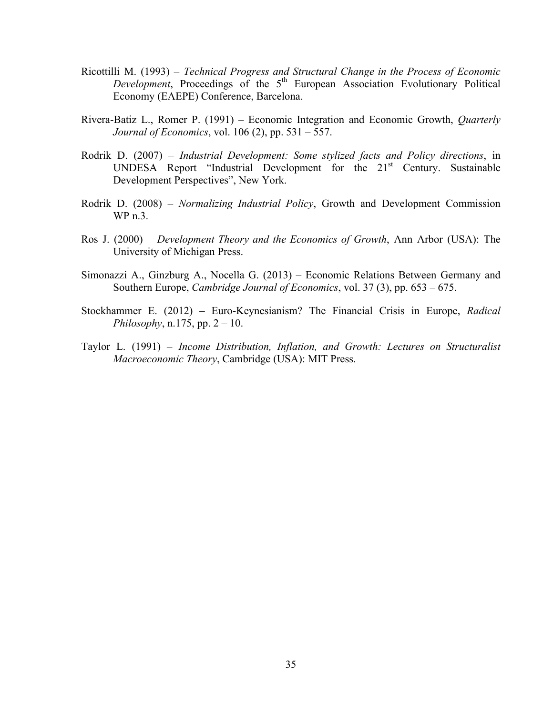- Ricottilli M. (1993) *Technical Progress and Structural Change in the Process of Economic Development*, Proceedings of the 5<sup>th</sup> European Association Evolutionary Political Economy (EAEPE) Conference, Barcelona.
- Rivera-Batiz L., Romer P. (1991) Economic Integration and Economic Growth, *Quarterly Journal of Economics*, vol. 106 (2), pp. 531 – 557.
- Rodrik D. (2007) *Industrial Development: Some stylized facts and Policy directions*, in UNDESA Report "Industrial Development for the 21st Century. Sustainable Development Perspectives", New York.
- Rodrik D. (2008) *Normalizing Industrial Policy*, Growth and Development Commission WP n.3.
- Ros J. (2000) *Development Theory and the Economics of Growth*, Ann Arbor (USA): The University of Michigan Press.
- Simonazzi A., Ginzburg A., Nocella G. (2013) Economic Relations Between Germany and Southern Europe, *Cambridge Journal of Economics*, vol. 37 (3), pp. 653 – 675.
- Stockhammer E. (2012) Euro-Keynesianism? The Financial Crisis in Europe, *Radical Philosophy*, n.175, pp. 2 – 10.
- Taylor L. (1991) *Income Distribution, Inflation, and Growth: Lectures on Structuralist Macroeconomic Theory*, Cambridge (USA): MIT Press.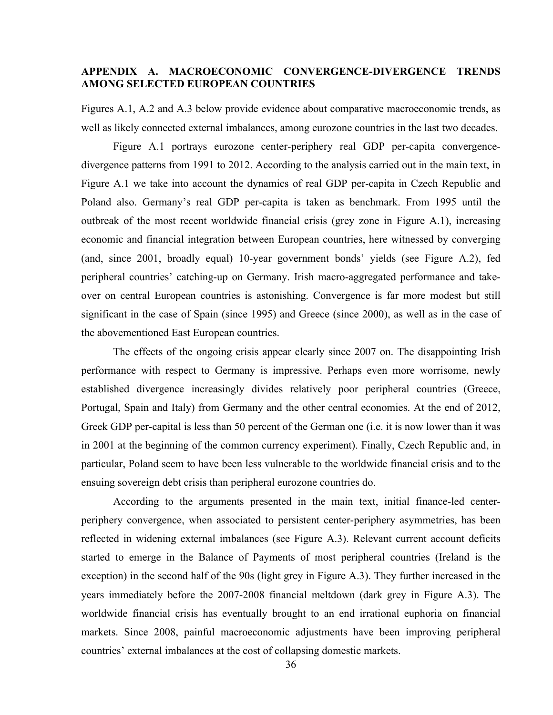## **APPENDIX A. MACROECONOMIC CONVERGENCE-DIVERGENCE TRENDS AMONG SELECTED EUROPEAN COUNTRIES**

Figures A.1, A.2 and A.3 below provide evidence about comparative macroeconomic trends, as well as likely connected external imbalances, among eurozone countries in the last two decades.

Figure A.1 portrays eurozone center-periphery real GDP per-capita convergencedivergence patterns from 1991 to 2012. According to the analysis carried out in the main text, in Figure A.1 we take into account the dynamics of real GDP per-capita in Czech Republic and Poland also. Germany's real GDP per-capita is taken as benchmark. From 1995 until the outbreak of the most recent worldwide financial crisis (grey zone in Figure A.1), increasing economic and financial integration between European countries, here witnessed by converging (and, since 2001, broadly equal) 10-year government bonds' yields (see Figure A.2), fed peripheral countries' catching-up on Germany. Irish macro-aggregated performance and takeover on central European countries is astonishing. Convergence is far more modest but still significant in the case of Spain (since 1995) and Greece (since 2000), as well as in the case of the abovementioned East European countries.

The effects of the ongoing crisis appear clearly since 2007 on. The disappointing Irish performance with respect to Germany is impressive. Perhaps even more worrisome, newly established divergence increasingly divides relatively poor peripheral countries (Greece, Portugal, Spain and Italy) from Germany and the other central economies. At the end of 2012, Greek GDP per-capital is less than 50 percent of the German one (i.e. it is now lower than it was in 2001 at the beginning of the common currency experiment). Finally, Czech Republic and, in particular, Poland seem to have been less vulnerable to the worldwide financial crisis and to the ensuing sovereign debt crisis than peripheral eurozone countries do.

According to the arguments presented in the main text, initial finance-led centerperiphery convergence, when associated to persistent center-periphery asymmetries, has been reflected in widening external imbalances (see Figure A.3). Relevant current account deficits started to emerge in the Balance of Payments of most peripheral countries (Ireland is the exception) in the second half of the 90s (light grey in Figure A.3). They further increased in the years immediately before the 2007-2008 financial meltdown (dark grey in Figure A.3). The worldwide financial crisis has eventually brought to an end irrational euphoria on financial markets. Since 2008, painful macroeconomic adjustments have been improving peripheral countries' external imbalances at the cost of collapsing domestic markets.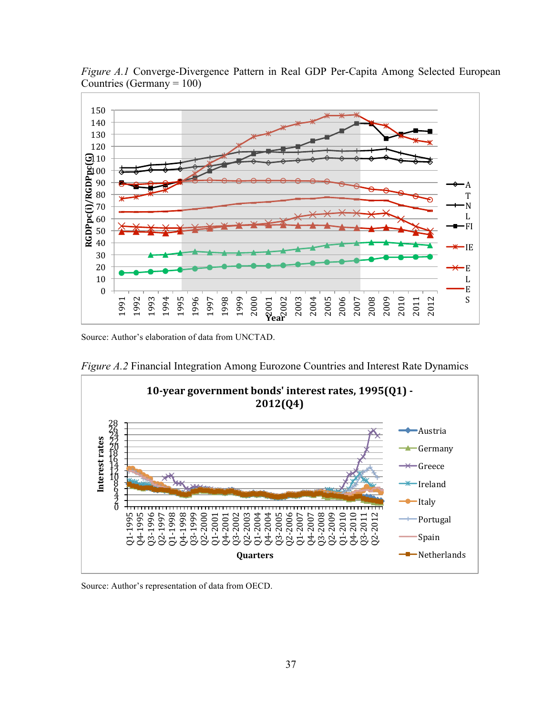

*Figure A.1* Converge-Divergence Pattern in Real GDP Per-Capita Among Selected European Countries (Germany  $= 100$ )

Source: Author's elaboration of data from UNCTAD.



*Figure A.2* Financial Integration Among Eurozone Countries and Interest Rate Dynamics

Source: Author's representation of data from OECD.